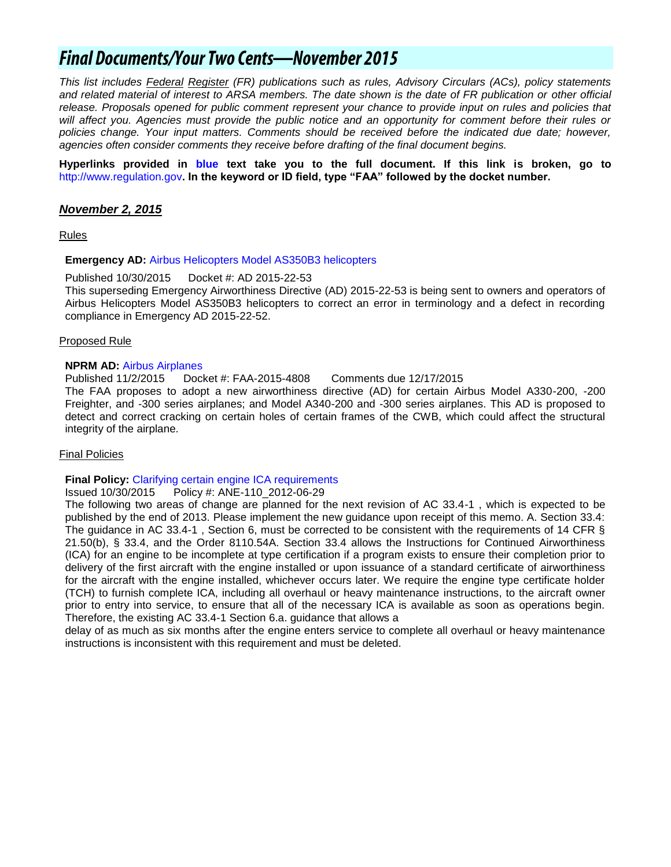## **Final Documents/Your Two Cents-November 2015**

*This list includes Federal Register (FR) publications such as rules, Advisory Circulars (ACs), policy statements and related material of interest to ARSA members. The date shown is the date of FR publication or other official release. Proposals opened for public comment represent your chance to provide input on rules and policies that*  will affect you. Agencies must provide the public notice and an opportunity for comment before their rules or policies change. Your input matters. Comments should be received before the indicated due date; however, *agencies often consider comments they receive before drafting of the final document begins.*

**Hyperlinks provided in blue text take you to the full document. If this link is broken, go to**  [http://www.regulation.gov](http://www.regulation.gov/)**. In the keyword or ID field, type "FAA" followed by the docket number.** 

#### *November 2, 2015*

Rules

#### **Emergency AD:** [Airbus Helicopters Model AS350B3 helicopters](http://www.airweb.faa.gov/Regulatory_and_Guidance_Library/rgad.nsf/0/96546BF19DC68E3D86257EEE0069ACCA?OpenDocument)

Published 10/30/2015 Docket #: AD 2015-22-53

This superseding Emergency Airworthiness Directive (AD) 2015-22-53 is being sent to owners and operators of Airbus Helicopters Model AS350B3 helicopters to correct an error in terminology and a defect in recording compliance in Emergency AD 2015-22-52.

#### Proposed Rule

#### **NPRM AD:** [Airbus Airplanes](https://www.federalregister.gov/articles/2015/11/02/2015-27725/airworthiness-directives-airbus-airplanes)

Published 11/2/2015 Docket #: FAA-2015-4808 Comments due 12/17/2015

The FAA proposes to adopt a new airworthiness directive (AD) for certain Airbus Model A330-200, -200 Freighter, and -300 series airplanes; and Model A340-200 and -300 series airplanes. This AD is proposed to detect and correct cracking on certain holes of certain frames of the CWB, which could affect the structural integrity of the airplane.

#### Final Policies

**Final Policy:** [Clarifying certain engine ICA requirements](http://rgl.faa.gov/Regulatory_and_Guidance_Library/rgPolicy.nsf/0/AD5B33CBEBC0D8D386257EEE0066BA4C?OpenDocument)

Issued 10/30/2015 Policy #: ANE-110\_2012-06-29

The following two areas of change are planned for the next revision of AC 33.4-1 , which is expected to be published by the end of 2013. Please implement the new guidance upon receipt of this memo. A. Section 33.4: The guidance in AC 33.4-1, Section 6, must be corrected to be consistent with the requirements of 14 CFR § 21.50(b), § 33.4, and the Order 8110.54A. Section 33.4 allows the Instructions for Continued Airworthiness (ICA) for an engine to be incomplete at type certification if a program exists to ensure their completion prior to delivery of the first aircraft with the engine installed or upon issuance of a standard certificate of airworthiness for the aircraft with the engine installed, whichever occurs later. We require the engine type certificate holder (TCH) to furnish complete ICA, including all overhaul or heavy maintenance instructions, to the aircraft owner prior to entry into service, to ensure that all of the necessary ICA is available as soon as operations begin. Therefore, the existing AC 33.4-1 Section 6.a. guidance that allows a

delay of as much as six months after the engine enters service to complete all overhaul or heavy maintenance instructions is inconsistent with this requirement and must be deleted.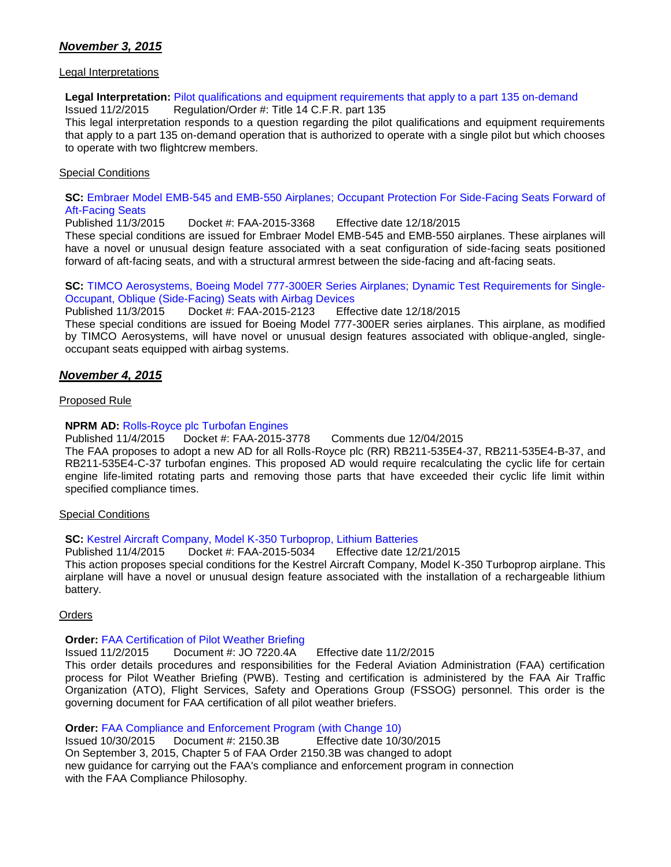## *November 3, 2015*

#### Legal Interpretations

## **Legal Interpretation:** [Pilot qualifications and equipment requirements that apply to a part 135 on-demand](http://www.faa.gov/about/office_org/headquarters_offices/agc/pol_adjudication/agc200/interpretations/data/interps/2015/Bernier-Winner%20Aviation%20-%20(2015)%20Legal%20Interpretation.pdf)

Issued 11/2/2015 Regulation/Order #: Title 14 C.F.R. part 135

This legal interpretation responds to a question regarding the pilot qualifications and equipment requirements that apply to a part 135 on-demand operation that is authorized to operate with a single pilot but which chooses to operate with two flightcrew members.

#### Special Conditions

#### **SC:** Embraer Model EMB-545 and EMB-550 Airplanes; [Occupant Protection For Side-Facing Seats Forward of](https://www.federalregister.gov/articles/2015/11/03/2015-27937/special-conditions-embraer-model-emb-545-and-emb-550-airplanes-occupant-protection-for-side-facing)  [Aft-Facing Seats](https://www.federalregister.gov/articles/2015/11/03/2015-27937/special-conditions-embraer-model-emb-545-and-emb-550-airplanes-occupant-protection-for-side-facing)

Published 11/3/2015 Docket #: FAA-2015-3368 Effective date 12/18/2015

These special conditions are issued for Embraer Model EMB-545 and EMB-550 airplanes. These airplanes will have a novel or unusual design feature associated with a seat configuration of side-facing seats positioned forward of aft-facing seats, and with a structural armrest between the side-facing and aft-facing seats.

# **SC:** [TIMCO Aerosystems, Boeing Model 777-300ER Series Airplanes; Dynamic Test Requirements for](https://www.federalregister.gov/articles/2015/11/03/2015-27936/special-conditions-timco-aerosystems-boeing-model-777-300er-series-airplanes-dynamic-test) Single-

[Occupant, Oblique \(Side-Facing\) Seats with Airbag Devices](https://www.federalregister.gov/articles/2015/11/03/2015-27936/special-conditions-timco-aerosystems-boeing-model-777-300er-series-airplanes-dynamic-test) Docket #: FAA-2015-2123 Effective date 12/18/2015

These special conditions are issued for Boeing Model 777-300ER series airplanes. This airplane, as modified by TIMCO Aerosystems, will have novel or unusual design features associated with oblique-angled, singleoccupant seats equipped with airbag systems.

#### *November 4, 2015*

Proposed Rule

#### **NPRM AD: [Rolls-Royce plc Turbofan Engines](https://www.federalregister.gov/articles/2015/11/04/2015-28080/airworthiness-directives-rolls-royce-plc-turbofan-engines)**

Published 11/4/2015 Docket #: FAA-2015-3778 Comments due 12/04/2015

The FAA proposes to adopt a new AD for all Rolls-Royce plc (RR) RB211-535E4-37, RB211-535E4-B-37, and RB211-535E4-C-37 turbofan engines. This proposed AD would require recalculating the cyclic life for certain engine life-limited rotating parts and removing those parts that have exceeded their cyclic life limit within specified compliance times.

#### Special Conditions

#### **SC:** [Kestrel Aircraft Company, Model K-350 Turboprop, Lithium Batteries](https://www.federalregister.gov/articles/2015/11/04/2015-28125/special-conditions-kestrel-aircraft-company-model-k-350-turboprop-lithium-batteries)

Published 11/4/2015 Docket #: FAA-2015-5034 Effective date 12/21/2015 This action proposes special conditions for the Kestrel Aircraft Company, Model K-350 Turboprop airplane. This

airplane will have a novel or unusual design feature associated with the installation of a rechargeable lithium battery.

#### **Orders**

#### **Order:** [FAA Certification of Pilot Weather Briefing](http://www.faa.gov/regulations_policies/orders_notices/index.cfm/go/document.information/documentID/1020176)

Issued 11/2/2015 Document #: JO 7220.4A Effective date 11/2/2015

This order details procedures and responsibilities for the Federal Aviation Administration (FAA) certification process for Pilot Weather Briefing (PWB). Testing and certification is administered by the FAA Air Traffic Organization (ATO), Flight Services, Safety and Operations Group (FSSOG) personnel. This order is the governing document for FAA certification of all pilot weather briefers.

#### **Order:** [FAA Compliance and Enforcement Program \(with Change 10\)](http://www.faa.gov/regulations_policies/orders_notices/index.cfm/go/document.information/documentID/17213)

Issued 10/30/2015 Document #: 2150.3B Effective date 10/30/2015 On September 3, 2015, Chapter 5 of FAA Order 2150.3B was changed to adopt new guidance for carrying out the FAA's compliance and enforcement program in connection with the FAA Compliance Philosophy.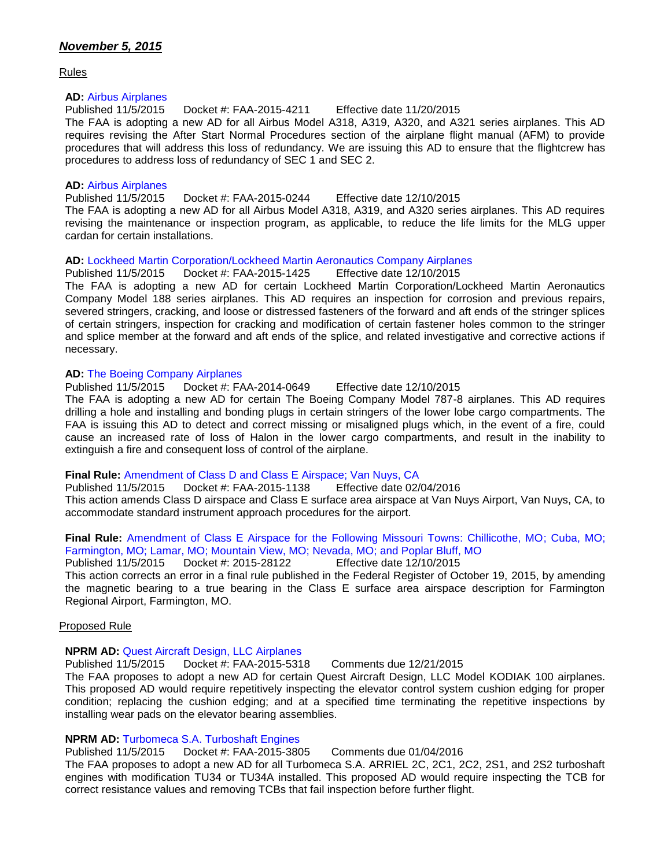Rules

#### **AD:** [Airbus Airplanes](https://www.federalregister.gov/articles/2015/11/05/2015-27688/airworthiness-directives-airbus-airplanes)

Published 11/5/2015 Docket #: FAA-2015-4211 Effective date 11/20/2015 The FAA is adopting a new AD for all Airbus Model A318, A319, A320, and A321 series airplanes. This AD requires revising the After Start Normal Procedures section of the airplane flight manual (AFM) to provide procedures that will address this loss of redundancy. We are issuing this AD to ensure that the flightcrew has procedures to address loss of redundancy of SEC 1 and SEC 2.

#### **AD:** [Airbus Airplanes](https://www.federalregister.gov/articles/2015/11/05/2015-27925/airworthiness-directives-airbus-airplanes)

Published 11/5/2015 Docket #: FAA-2015-0244 Effective date 12/10/2015

The FAA is adopting a new AD for all Airbus Model A318, A319, and A320 series airplanes. This AD requires revising the maintenance or inspection program, as applicable, to reduce the life limits for the MLG upper cardan for certain installations.

#### **AD:** [Lockheed Martin Corporation/Lockheed Martin Aeronautics Company Airplanes](https://www.federalregister.gov/articles/2015/11/05/2015-27919/airworthiness-directives-lockheed-martin-corporationlockheed-martin-aeronautics-company-airplanes)

Published 11/5/2015 Docket #: FAA-2015-1425 Effective date 12/10/2015 The FAA is adopting a new AD for certain Lockheed Martin Corporation/Lockheed Martin Aeronautics Company Model 188 series airplanes. This AD requires an inspection for corrosion and previous repairs, severed stringers, cracking, and loose or distressed fasteners of the forward and aft ends of the stringer splices of certain stringers, inspection for cracking and modification of certain fastener holes common to the stringer and splice member at the forward and aft ends of the splice, and related investigative and corrective actions if necessary.

#### **AD:** [The Boeing Company Airplanes](https://www.federalregister.gov/articles/2015/11/05/2015-27954/airworthiness-directives-the-boeing-company-airplanes)

Published 11/5/2015 Docket #: FAA-2014-0649 Effective date 12/10/2015

The FAA is adopting a new AD for certain The Boeing Company Model 787-8 airplanes. This AD requires drilling a hole and installing and bonding plugs in certain stringers of the lower lobe cargo compartments. The FAA is issuing this AD to detect and correct missing or misaligned plugs which, in the event of a fire, could cause an increased rate of loss of Halon in the lower cargo compartments, and result in the inability to extinguish a fire and consequent loss of control of the airplane.

#### **Final Rule:** [Amendment of Class D and Class E Airspace; Van Nuys, CA](https://www.federalregister.gov/articles/2015/11/05/2015-28124/amendment-of-class-d-and-class-e-airspace-van-nuys-ca)

Published 11/5/2015 Docket #: FAA-2015-1138 Effective date 02/04/2016 This action amends Class D airspace and Class E surface area airspace at Van Nuys Airport, Van Nuys, CA, to accommodate standard instrument approach procedures for the airport.

#### **Final Rule:** [Amendment of Class E Airspace for the Following Missouri Towns: Chillicothe, MO; Cuba, MO;](https://www.federalregister.gov/articles/2015/11/05/2015-28122/amendment-of-class-e-airspace-for-the-following-missouri-towns-chillicothe-mo-cuba-mo-farmington-mo)  [Farmington, MO; Lamar, MO; Mountain View, MO; Nevada, MO; and Poplar Bluff, MO](https://www.federalregister.gov/articles/2015/11/05/2015-28122/amendment-of-class-e-airspace-for-the-following-missouri-towns-chillicothe-mo-cuba-mo-farmington-mo)

Published 11/5/2015 Docket #: 2015-28122 Effective date 12/10/2015 This action corrects an error in a final rule published in the Federal Register of October 19, 2015, by amending the magnetic bearing to a true bearing in the Class E surface area airspace description for Farmington Regional Airport, Farmington, MO.

#### Proposed Rule

#### **NPRM AD:** [Quest Aircraft Design, LLC Airplanes](https://www.federalregister.gov/articles/2015/11/05/2015-28198/airworthiness-directives-quest-aircraft-design-llc-airplanes)

Published 11/5/2015 Docket #: FAA-2015-5318 Comments due 12/21/2015

The FAA proposes to adopt a new AD for certain Quest Aircraft Design, LLC Model KODIAK 100 airplanes. This proposed AD would require repetitively inspecting the elevator control system cushion edging for proper condition; replacing the cushion edging; and at a specified time terminating the repetitive inspections by installing wear pads on the elevator bearing assemblies.

#### **NPRM AD:** [Turbomeca S.A. Turboshaft Engines](https://www.federalregister.gov/articles/2015/11/05/2015-28011/airworthiness-directives-turbomeca-sa-turboshaft-engines)

Published 11/5/2015 Docket #: FAA-2015-3805 Comments due 01/04/2016

The FAA proposes to adopt a new AD for all Turbomeca S.A. ARRIEL 2C, 2C1, 2C2, 2S1, and 2S2 turboshaft engines with modification TU34 or TU34A installed. This proposed AD would require inspecting the TCB for correct resistance values and removing TCBs that fail inspection before further flight.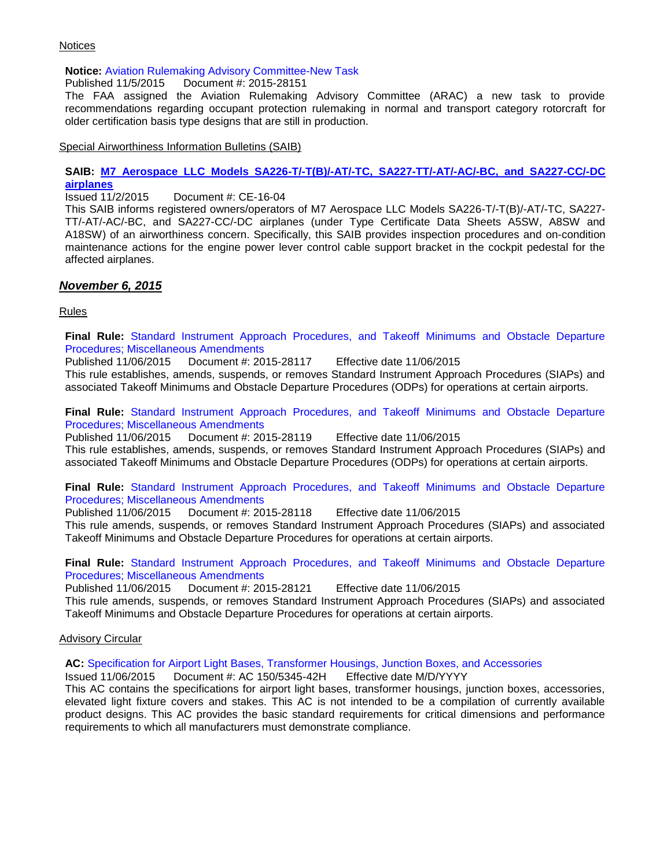#### **Notices**

#### **Notice:** [Aviation Rulemaking Advisory Committee-New Task](https://www.federalregister.gov/articles/2015/11/05/2015-28151/aviation-rulemaking-advisory-committee-new-task)

Published 11/5/2015 Document #: 2015-28151

The FAA assigned the Aviation Rulemaking Advisory Committee (ARAC) a new task to provide recommendations regarding occupant protection rulemaking in normal and transport category rotorcraft for older certification basis type designs that are still in production.

Special Airworthiness Information Bulletins (SAIB)

### **SAIB: [M7 Aerospace LLC Models SA226-T/-T\(B\)/-AT/-TC, SA227-TT/-AT/-AC/-BC, and SA227-CC/-DC](http://rgl.faa.gov/Regulatory_and_Guidance_Library/rgSAIB.nsf/dc7bd4f27e5f107486257221005f069d/c0aca2cb277f06c486257ef10075190c/$FILE/CE-16-04.pdf)  [airplanes](http://rgl.faa.gov/Regulatory_and_Guidance_Library/rgSAIB.nsf/dc7bd4f27e5f107486257221005f069d/c0aca2cb277f06c486257ef10075190c/$FILE/CE-16-04.pdf)**

Issued 11/2/2015 Document #: CE-16-04

This SAIB informs registered owners/operators of M7 Aerospace LLC Models SA226-T/-T(B)/-AT/-TC, SA227- TT/-AT/-AC/-BC, and SA227-CC/-DC airplanes (under Type Certificate Data Sheets A5SW, A8SW and A18SW) of an airworthiness concern. Specifically, this SAIB provides inspection procedures and on-condition maintenance actions for the engine power lever control cable support bracket in the cockpit pedestal for the affected airplanes.

### *November 6, 2015*

Rules

**Final Rule:** [Standard Instrument Approach Procedures, and Takeoff Minimums and Obstacle Departure](https://www.federalregister.gov/articles/2015/11/06/2015-28117/standard-instrument-approach-procedures-and-takeoff-minimums-and-obstacle-departure-procedures) [Procedures; Miscellaneous Amendments](https://www.federalregister.gov/articles/2015/11/06/2015-28117/standard-instrument-approach-procedures-and-takeoff-minimums-and-obstacle-departure-procedures)

Published 11/06/2015 Document #: 2015-28117 Effective date 11/06/2015 This rule establishes, amends, suspends, or removes Standard Instrument Approach Procedures (SIAPs) and associated Takeoff Minimums and Obstacle Departure Procedures (ODPs) for operations at certain airports.

**Final Rule:** [Standard Instrument Approach Procedures, and Takeoff Minimums and Obstacle Departure](https://www.federalregister.gov/articles/2015/11/06/2015-28119/standard-instrument-approach-procedures-and-takeoff-minimums-and-obstacle-departure-procedures)  [Procedures; Miscellaneous Amendments](https://www.federalregister.gov/articles/2015/11/06/2015-28119/standard-instrument-approach-procedures-and-takeoff-minimums-and-obstacle-departure-procedures)

Published 11/06/2015 Document #: 2015-28119 Effective date 11/06/2015 This rule establishes, amends, suspends, or removes Standard Instrument Approach Procedures (SIAPs) and associated Takeoff Minimums and Obstacle Departure Procedures (ODPs) for operations at certain airports.

**Final Rule:** [Standard Instrument Approach Procedures, and Takeoff Minimums and Obstacle Departure](https://www.federalregister.gov/articles/2015/11/06/2015-28118/standard-instrument-approach-procedures-and-takeoff-minimums-and-obstacle-departure-procedures)  [Procedures; Miscellaneous Amendments](https://www.federalregister.gov/articles/2015/11/06/2015-28118/standard-instrument-approach-procedures-and-takeoff-minimums-and-obstacle-departure-procedures)

Published 11/06/2015 Document #: 2015-28118 Effective date 11/06/2015 This rule amends, suspends, or removes Standard Instrument Approach Procedures (SIAPs) and associated Takeoff Minimums and Obstacle Departure Procedures for operations at certain airports.

**Final Rule:** [Standard Instrument Approach Procedures, and Takeoff Minimums and Obstacle Departure](https://www.federalregister.gov/articles/2015/11/06/2015-28121/standard-instrument-approach-procedures-and-takeoff-minimums-and-obstacle-departure-procedures) [Procedures; Miscellaneous Amendments](https://www.federalregister.gov/articles/2015/11/06/2015-28121/standard-instrument-approach-procedures-and-takeoff-minimums-and-obstacle-departure-procedures)

Published 11/06/2015 Document #: 2015-28121 Effective date 11/06/2015

This rule amends, suspends, or removes Standard Instrument Approach Procedures (SIAPs) and associated Takeoff Minimums and Obstacle Departure Procedures for operations at certain airports.

#### Advisory Circular

**AC:** [Specification for Airport Light Bases, Transformer Housings, Junction Boxes, and Accessories](http://www.faa.gov/regulations_policies/advisory_circulars/index.cfm/go/document.information/documentID/1028567)

Issued 11/06/2015 Document #: AC 150/5345-42H Effective date M/D/YYYY

This AC contains the specifications for airport light bases, transformer housings, junction boxes, accessories, elevated light fixture covers and stakes. This AC is not intended to be a compilation of currently available product designs. This AC provides the basic standard requirements for critical dimensions and performance requirements to which all manufacturers must demonstrate compliance.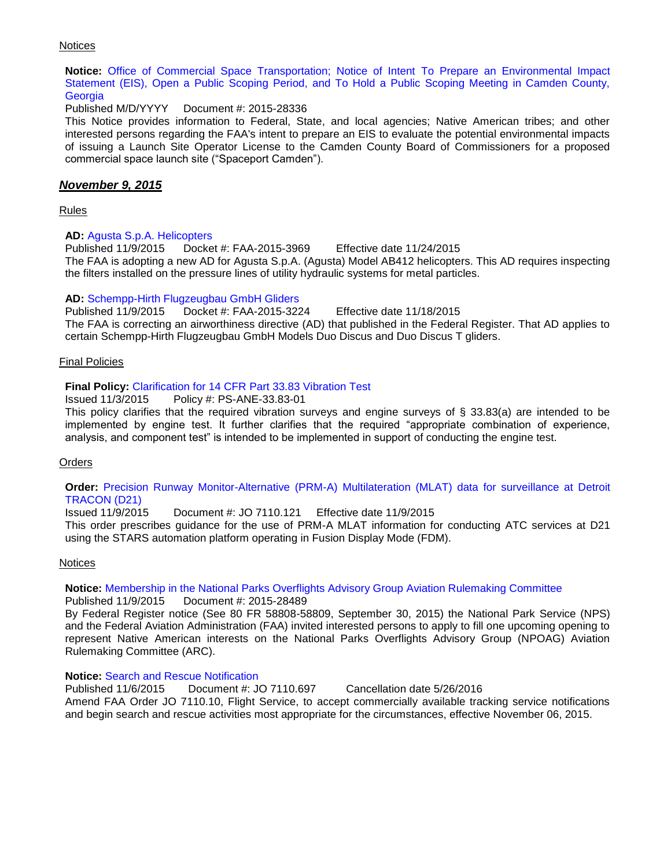#### **Notices**

**Notice:** [Office of Commercial Space Transportation; Notice of Intent To Prepare an Environmental Impact](https://www.federalregister.gov/articles/2015/11/06/2015-28336/office-of-commercial-space-transportation-notice-of-intent-to-prepare-an-environmental-impact)  [Statement \(EIS\), Open a Public Scoping Period, and To Hold a Public Scoping Meeting in Camden County,](https://www.federalregister.gov/articles/2015/11/06/2015-28336/office-of-commercial-space-transportation-notice-of-intent-to-prepare-an-environmental-impact)  **[Georgia](https://www.federalregister.gov/articles/2015/11/06/2015-28336/office-of-commercial-space-transportation-notice-of-intent-to-prepare-an-environmental-impact)** 

Published M/D/YYYY Document #: 2015-28336

This Notice provides information to Federal, State, and local agencies; Native American tribes; and other interested persons regarding the FAA's intent to prepare an EIS to evaluate the potential environmental impacts of issuing a Launch Site Operator License to the Camden County Board of Commissioners for a proposed commercial space launch site ("Spaceport Camden").

#### *November 9, 2015*

Rules

#### **AD:** [Agusta S.p.A. Helicopters](https://www.federalregister.gov/articles/2015/11/09/2015-28314/airworthiness-directives-agusta-spa-helicopters)

Published 11/9/2015 Docket #: FAA-2015-3969 Effective date 11/24/2015 The FAA is adopting a new AD for Agusta S.p.A. (Agusta) Model AB412 helicopters. This AD requires inspecting the filters installed on the pressure lines of utility hydraulic systems for metal particles.

#### **AD:** [Schempp-Hirth Flugzeugbau GmbH Gliders](https://www.federalregister.gov/articles/2015/11/09/2015-28339/airworthiness-directives-schempp-hirth-flugzeugbau-gmbh-gliders)

Published 11/9/2015 Docket #: FAA-2015-3224 Effective date 11/18/2015 The FAA is correcting an airworthiness directive (AD) that published in the Federal Register. That AD applies to certain Schempp-Hirth Flugzeugbau GmbH Models Duo Discus and Duo Discus T gliders.

#### Final Policies

#### **Final Policy:** [Clarification for 14 CFR Part 33.83 Vibration Test](http://rgl.faa.gov/Regulatory_and_Guidance_Library/rgPolicy.nsf/0/541BA732D6EB1EE586257EF50067649F?OpenDocument)

Issued 11/3/2015 Policy #: PS-ANE-33.83-01

This policy clarifies that the required vibration surveys and engine surveys of § 33.83(a) are intended to be implemented by engine test. It further clarifies that the required "appropriate combination of experience, analysis, and component test" is intended to be implemented in support of conducting the engine test.

#### **Orders**

#### **Order:** [Precision Runway Monitor-Alternative \(PRM-A\) Multilateration \(MLAT\) data for surveillance at Detroit](http://www.faa.gov/regulations_policies/orders_notices/index.cfm/go/document.information/documentID/1028569)  [TRACON \(D21\)](http://www.faa.gov/regulations_policies/orders_notices/index.cfm/go/document.information/documentID/1028569)

Issued 11/9/2015 Document #: JO 7110.121 Effective date 11/9/2015

This order prescribes guidance for the use of PRM-A MLAT information for conducting ATC services at D21 using the STARS automation platform operating in Fusion Display Mode (FDM).

#### **Notices**

#### **Notice:** [Membership in the National Parks Overflights Advisory Group Aviation Rulemaking Committee](https://www.federalregister.gov/articles/2015/11/09/2015-28489/membership-in-the-national-parks-overflights-advisory-group-aviation-rulemaking-committee)

Published 11/9/2015 Document #: 2015-28489 By Federal Register notice (See 80 FR 58808-58809, September 30, 2015) the National Park Service (NPS) and the Federal Aviation Administration (FAA) invited interested persons to apply to fill one upcoming opening to represent Native American interests on the National Parks Overflights Advisory Group (NPOAG) Aviation Rulemaking Committee (ARC).

#### **Notice:** [Search and Rescue Notification](http://www.faa.gov/regulations_policies/orders_notices/index.cfm/go/document.information/documentID/1028568)

Published 11/6/2015 Document #: JO 7110.697 Cancellation date 5/26/2016 Amend FAA Order JO 7110.10, Flight Service, to accept commercially available tracking service notifications and begin search and rescue activities most appropriate for the circumstances, effective November 06, 2015.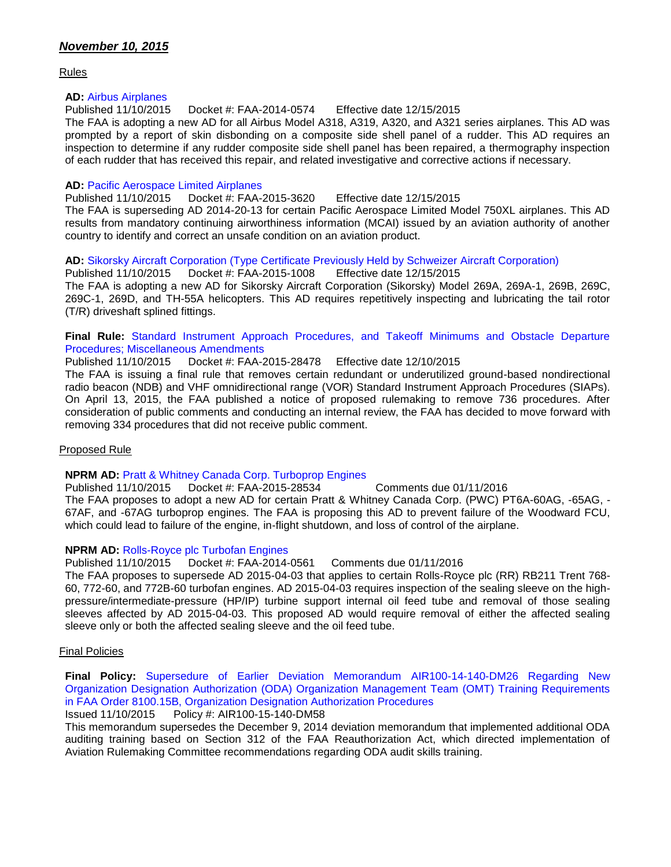## *November 10, 2015*

Rules

#### **AD:** [Airbus Airplanes](https://www.federalregister.gov/articles/2015/11/10/2015-28197/airworthiness-directives-airbus-airplanes)

Published 11/10/2015 Docket #: FAA-2014-0574 Effective date 12/15/2015

The FAA is adopting a new AD for all Airbus Model A318, A319, A320, and A321 series airplanes. This AD was prompted by a report of skin disbonding on a composite side shell panel of a rudder. This AD requires an inspection to determine if any rudder composite side shell panel has been repaired, a thermography inspection of each rudder that has received this repair, and related investigative and corrective actions if necessary.

#### **AD:** [Pacific Aerospace Limited Airplanes](https://www.federalregister.gov/articles/2015/11/10/2015-28338/airworthiness-directives-pacific-aerospace-limited-airplanes)

Published 11/10/2015 Docket #: FAA-2015-3620 Effective date 12/15/2015

The FAA is superseding AD 2014-20-13 for certain Pacific Aerospace Limited Model 750XL airplanes. This AD results from mandatory continuing airworthiness information (MCAI) issued by an aviation authority of another country to identify and correct an unsafe condition on an aviation product.

#### **AD:** [Sikorsky Aircraft Corporation \(Type Certificate Previously Held by Schweizer Aircraft Corporation\)](https://www.federalregister.gov/articles/2015/11/10/2015-28313/airworthiness-directives-sikorsky-aircraft-corporation-type-certificate-previously-held-by-schweizer)

Published 11/10/2015 Docket #: FAA-2015-1008 Effective date 12/15/2015 The FAA is adopting a new AD for Sikorsky Aircraft Corporation (Sikorsky) Model 269A, 269A-1, 269B, 269C, 269C-1, 269D, and TH-55A helicopters. This AD requires repetitively inspecting and lubricating the tail rotor (T/R) driveshaft splined fittings.

#### **Final Rule:** [Standard Instrument Approach Procedures, and Takeoff Minimums and Obstacle Departure](https://www.https/www.federalregister.gov/articles/2015/11/10/2015-28478/standard-instrument-approach-procedures-and-takeoff-minimums-and-obstacle-departure-procedures.gov/agencies/federal-aviation-administration)  [Procedures; Miscellaneous Amendments](https://www.https/www.federalregister.gov/articles/2015/11/10/2015-28478/standard-instrument-approach-procedures-and-takeoff-minimums-and-obstacle-departure-procedures.gov/agencies/federal-aviation-administration)

Published 11/10/2015 Docket #: FAA-2015-28478 Effective date 12/10/2015 The FAA is issuing a final rule that removes certain redundant or underutilized ground-based nondirectional radio beacon (NDB) and VHF omnidirectional range (VOR) Standard Instrument Approach Procedures (SIAPs). On April 13, 2015, the FAA published a notice of proposed rulemaking to remove 736 procedures. After consideration of public comments and conducting an internal review, the FAA has decided to move forward with removing 334 procedures that did not receive public comment.

#### Proposed Rule

## **NPRM AD: [Pratt & Whitney Canada Corp. Turboprop Engines](https://www.federalregister.gov/articles/2015/11/10/2015-28534/airworthiness-directives-pratt-and-whitney-canada-corp-turboprop-engines) Published 11/10/2015** Docket #: FAA-2015-28534

Published 11/10/2015 Docket #: FAA-2015-28534 Comments due 01/11/2016 The FAA proposes to adopt a new AD for certain Pratt & Whitney Canada Corp. (PWC) PT6A-60AG, -65AG, - 67AF, and -67AG turboprop engines. The FAA is proposing this AD to prevent failure of the Woodward FCU, which could lead to failure of the engine, in-flight shutdown, and loss of control of the airplane.

#### **NPRM AD:** [Rolls-Royce plc Turbofan Engines](https://www.federalregister.gov/articles/2015/11/10/2015-28533/airworthiness-directives-rolls-royce-plc-turbofan-engines)

Published 11/10/2015 Docket #: FAA-2014-0561 Comments due 01/11/2016

The FAA proposes to supersede AD 2015-04-03 that applies to certain Rolls-Royce plc (RR) RB211 Trent 768- 60, 772-60, and 772B-60 turbofan engines. AD 2015-04-03 requires inspection of the sealing sleeve on the highpressure/intermediate-pressure (HP/IP) turbine support internal oil feed tube and removal of those sealing sleeves affected by AD 2015-04-03. This proposed AD would require removal of either the affected sealing sleeve only or both the affected sealing sleeve and the oil feed tube.

#### Final Policies

**Final Policy:** [Supersedure of Earlier Deviation Memorandum AIR100-14-140-DM26 Regarding New](http://rgl.faa.gov/Regulatory_and_Guidance_Library/rgPolicy.nsf/0/55575F026E53A84186257EF90075E5FB?OpenDocument)  [Organization Designation Authorization \(ODA\) Organization Management Team \(OMT\) Training Requirements](http://rgl.faa.gov/Regulatory_and_Guidance_Library/rgPolicy.nsf/0/55575F026E53A84186257EF90075E5FB?OpenDocument)  [in FAA Order 8100.15B, Organization Designation Authorization Procedures](http://rgl.faa.gov/Regulatory_and_Guidance_Library/rgPolicy.nsf/0/55575F026E53A84186257EF90075E5FB?OpenDocument) 

#### Issued 11/10/2015 Policy #: AIR100-15-140-DM58

This memorandum supersedes the December 9, 2014 deviation memorandum that implemented additional ODA auditing training based on Section 312 of the FAA Reauthorization Act, which directed implementation of Aviation Rulemaking Committee recommendations regarding ODA audit skills training.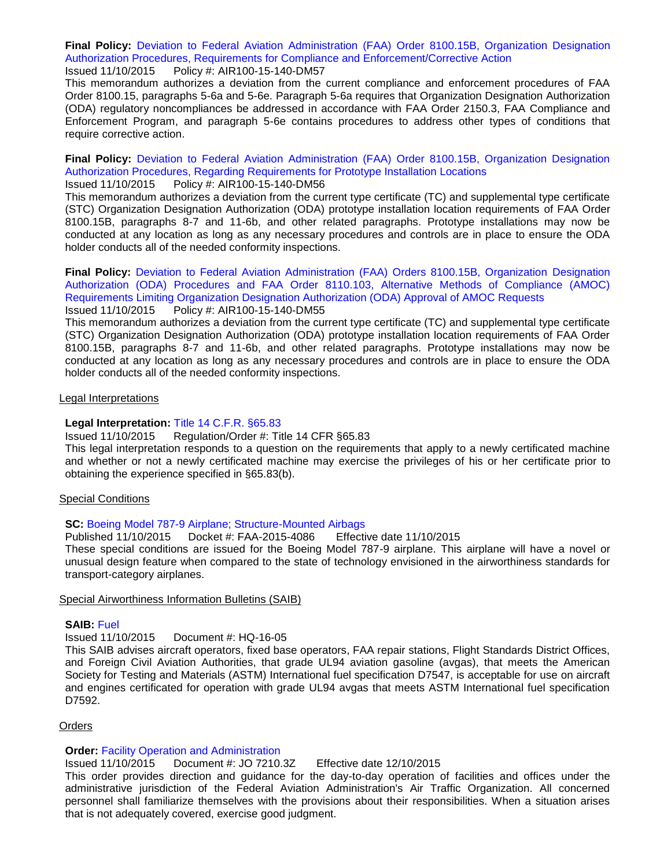**Final Policy:** [Deviation to Federal Aviation Administration \(FAA\) Order 8100.15B, Organization Designation](http://rgl.faa.gov/Regulatory_and_Guidance_Library/rgPolicy.nsf/0/7DFE428E6C22BFE486257EF90075E815?OpenDocument)  [Authorization Procedures, Requirements for Compliance and Enforcement/Corrective Action](http://rgl.faa.gov/Regulatory_and_Guidance_Library/rgPolicy.nsf/0/7DFE428E6C22BFE486257EF90075E815?OpenDocument) Issued 11/10/2015 Policy #: AIR100-15-140-DM57

This memorandum authorizes a deviation from the current compliance and enforcement procedures of FAA Order 8100.15, paragraphs 5-6a and 5-6e. Paragraph 5-6a requires that Organization Designation Authorization (ODA) regulatory noncompliances be addressed in accordance with FAA Order 2150.3, FAA Compliance and Enforcement Program, and paragraph 5-6e contains procedures to address other types of conditions that require corrective action.

**Final Policy:** [Deviation to Federal Aviation Administration \(FAA\) Order 8100.15B, Organization Designation](http://rgl.faa.gov/Regulatory_and_Guidance_Library/rgPolicy.nsf/0/E0D2ECD3BD32747786257EF90075E4E9?OpenDocument)  [Authorization Procedures, Regarding Requirements for Prototype Installation Locations](http://rgl.faa.gov/Regulatory_and_Guidance_Library/rgPolicy.nsf/0/E0D2ECD3BD32747786257EF90075E4E9?OpenDocument)

#### Issued 11/10/2015 Policy #: AIR100-15-140-DM56

This memorandum authorizes a deviation from the current type certificate (TC) and supplemental type certificate (STC) Organization Designation Authorization (ODA) prototype installation location requirements of FAA Order 8100.15B, paragraphs 8-7 and 11-6b, and other related paragraphs. Prototype installations may now be conducted at any location as long as any necessary procedures and controls are in place to ensure the ODA holder conducts all of the needed conformity inspections.

**Final Policy:** [Deviation to Federal Aviation Administration \(FAA\) Orders 8100.15B, Organization Designation](http://rgl.faa.gov/Regulatory_and_Guidance_Library/rgPolicy.nsf/0/BF772129076D7BB186257EF90075E70B?OpenDocument)  [Authorization \(ODA\) Procedures and FAA Order 8110.103, Alternative Methods of Compliance \(AMOC\)](http://rgl.faa.gov/Regulatory_and_Guidance_Library/rgPolicy.nsf/0/BF772129076D7BB186257EF90075E70B?OpenDocument)  [Requirements Limiting Organization Designation Authorization \(ODA\) Approval of AMOC Requests](http://rgl.faa.gov/Regulatory_and_Guidance_Library/rgPolicy.nsf/0/BF772129076D7BB186257EF90075E70B?OpenDocument) Issued 11/10/2015 Policy #: AIR100-15-140-DM55

This memorandum authorizes a deviation from the current type certificate (TC) and supplemental type certificate (STC) Organization Designation Authorization (ODA) prototype installation location requirements of FAA Order 8100.15B, paragraphs 8-7 and 11-6b, and other related paragraphs. Prototype installations may now be conducted at any location as long as any necessary procedures and controls are in place to ensure the ODA holder conducts all of the needed conformity inspections.

#### Legal Interpretations

#### **Legal Interpretation:** [Title 14 C.F.R. §65.83](http://www.faa.gov/about/office_org/headquarters_offices/agc/pol_adjudication/agc200/interpretations/data/interps/2015/DaSilva-CommuteAir%20-%20(2015)%20Legal%20Interpretation.pdf)

Issued 11/10/2015 Regulation/Order #: Title 14 CFR §65.83

This legal interpretation responds to a question on the requirements that apply to a newly certificated machine and whether or not a newly certificated machine may exercise the privileges of his or her certificate prior to obtaining the experience specified in §65.83(b).

#### Special Conditions

#### **SC:** [Boeing Model 787-9 Airplane; Structure-Mounted Airbags](https://www.federalregister.gov/articles/2015/11/10/2015-28568/special-conditions-boeing-model-787-9-airplane-structure-mounted-airbags)

Published 11/10/2015 Docket #: FAA-2015-4086 Effective date 11/10/2015

These special conditions are issued for the Boeing Model 787-9 airplane. This airplane will have a novel or unusual design feature when compared to the state of technology envisioned in the airworthiness standards for transport-category airplanes.

#### Special Airworthiness Information Bulletins (SAIB)

#### **SAIB:** [Fuel](http://rgl.faa.gov/Regulatory_and_Guidance_Library/rgSAIB.nsf/MainFrame?OpenFrameSet)

Issued 11/10/2015 Document #: HQ-16-05

This SAIB advises aircraft operators, fixed base operators, FAA repair stations, Flight Standards District Offices, and Foreign Civil Aviation Authorities, that grade UL94 aviation gasoline (avgas), that meets the American Society for Testing and Materials (ASTM) International fuel specification D7547, is acceptable for use on aircraft and engines certificated for operation with grade UL94 avgas that meets ASTM International fuel specification D7592.

#### **Orders**

#### **Order:** [Facility Operation and Administration](http://www.faa.gov/regulations_policies/orders_notices/index.cfm/go/document.information/documentID/1028577)

Issued 11/10/2015 Document #: JO 7210.3Z Effective date 12/10/2015

This order provides direction and guidance for the day-to-day operation of facilities and offices under the administrative jurisdiction of the Federal Aviation Administration's Air Traffic Organization. All concerned personnel shall familiarize themselves with the provisions about their responsibilities. When a situation arises that is not adequately covered, exercise good judgment.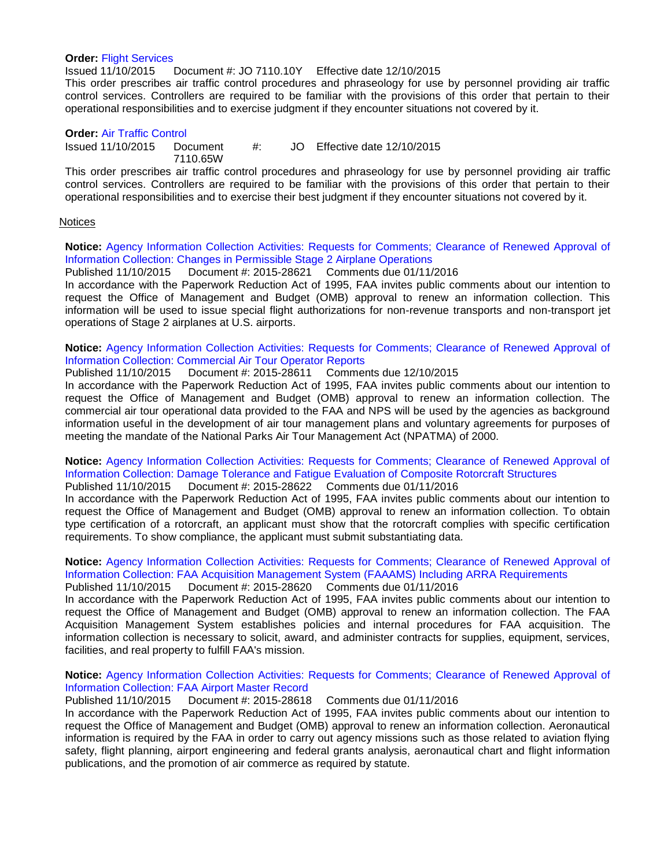#### **Order:** [Flight Services](http://www.faa.gov/regulations_policies/orders_notices/index.cfm/go/document.information/documentID/1028578)

Issued 11/10/2015 Document #: JO 7110.10Y Effective date 12/10/2015

This order prescribes air traffic control procedures and phraseology for use by personnel providing air traffic control services. Controllers are required to be familiar with the provisions of this order that pertain to their operational responsibilities and to exercise judgment if they encounter situations not covered by it.

#### **Order:** [Air Traffic Control](http://www.faa.gov/documentLibrary/media/Order/ATC.pdf)

 $Is sued 11/10/2015 Doc$ ument #: Effective date 12/10/2015

7110.65W

This order prescribes air traffic control procedures and phraseology for use by personnel providing air traffic control services. Controllers are required to be familiar with the provisions of this order that pertain to their operational responsibilities and to exercise their best judgment if they encounter situations not covered by it.

#### **Notices**

**Notice:** [Agency Information Collection Activities: Requests for Comments; Clearance of Renewed Approval of](https://www.federalregister.gov/articles/2015/11/10/2015-28621/agency-information-collection-activities-requests-for-comments-clearance-of-renewed-approval-of)  [Information Collection: Changes in Permissible Stage 2 Airplane Operations](https://www.federalregister.gov/articles/2015/11/10/2015-28621/agency-information-collection-activities-requests-for-comments-clearance-of-renewed-approval-of)

Published 11/10/2015 Document #: 2015-28621 Comments due 01/11/2016 In accordance with the Paperwork Reduction Act of 1995, FAA invites public comments about our intention to request the Office of Management and Budget (OMB) approval to renew an information collection. This information will be used to issue special flight authorizations for non-revenue transports and non-transport jet operations of Stage 2 airplanes at U.S. airports.

**Notice:** [Agency Information Collection Activities: Requests for Comments; Clearance of Renewed Approval of](https://www.federalregister.gov/articles/2015/11/10/2015-28611/agency-information-collection-activities-requests-for-comments-clearance-of-renewed-approval-of)  [Information Collection: Commercial Air Tour Operator Reports](https://www.federalregister.gov/articles/2015/11/10/2015-28611/agency-information-collection-activities-requests-for-comments-clearance-of-renewed-approval-of)

Published 11/10/2015 Document #: 2015-28611 Comments due 12/10/2015

In accordance with the Paperwork Reduction Act of 1995, FAA invites public comments about our intention to request the Office of Management and Budget (OMB) approval to renew an information collection. The commercial air tour operational data provided to the FAA and NPS will be used by the agencies as background information useful in the development of air tour management plans and voluntary agreements for purposes of meeting the mandate of the National Parks Air Tour Management Act (NPATMA) of 2000.

## **Notice:** [Agency Information Collection Activities: Requests for Comments; Clearance of Renewed Approval of](https://www.federalregister.gov/articles/2015/11/10/2015-28622/agency-information-collection-activities-requests-for-comments-clearance-of-renewed-approval-of)  [Information Collection: Damage Tolerance and Fatigue Evaluation of Composite Rotorcraft Structures](https://www.federalregister.gov/articles/2015/11/10/2015-28622/agency-information-collection-activities-requests-for-comments-clearance-of-renewed-approval-of)

Published 11/10/2015 Document #: 2015-28622 Comments due 01/11/2016 In accordance with the Paperwork Reduction Act of 1995, FAA invites public comments about our intention to request the Office of Management and Budget (OMB) approval to renew an information collection. To obtain type certification of a rotorcraft, an applicant must show that the rotorcraft complies with specific certification requirements. To show compliance, the applicant must submit substantiating data.

## **Notice:** [Agency Information Collection Activities: Requests for Comments; Clearance of Renewed Approval of](https://www.federalregister.gov/articles/2015/11/10/2015-28620/agency-information-collection-activities-requests-for-comments-clearance-of-renewed-approval-of)  [Information Collection: FAA Acquisition Management System \(FAAAMS\) Including ARRA Requirements](https://www.federalregister.gov/articles/2015/11/10/2015-28620/agency-information-collection-activities-requests-for-comments-clearance-of-renewed-approval-of)

Published 11/10/2015 Document #: 2015-28620 Comments due 01/11/2016

In accordance with the Paperwork Reduction Act of 1995, FAA invites public comments about our intention to request the Office of Management and Budget (OMB) approval to renew an information collection. The FAA Acquisition Management System establishes policies and internal procedures for FAA acquisition. The information collection is necessary to solicit, award, and administer contracts for supplies, equipment, services, facilities, and real property to fulfill FAA's mission.

#### **Notice:** [Agency Information Collection Activities: Requests for Comments; Clearance of Renewed Approval of](https://www.federalregister.gov/articles/2015/11/10/2015-28618/agency-information-collection-activities-requests-for-comments-clearance-of-renewed-approval-of)  [Information Collection: FAA Airport Master Record](https://www.federalregister.gov/articles/2015/11/10/2015-28618/agency-information-collection-activities-requests-for-comments-clearance-of-renewed-approval-of)

Published 11/10/2015 Document #: 2015-28618 Comments due 01/11/2016

In accordance with the Paperwork Reduction Act of 1995, FAA invites public comments about our intention to request the Office of Management and Budget (OMB) approval to renew an information collection. Aeronautical information is required by the FAA in order to carry out agency missions such as those related to aviation flying safety, flight planning, airport engineering and federal grants analysis, aeronautical chart and flight information publications, and the promotion of air commerce as required by statute.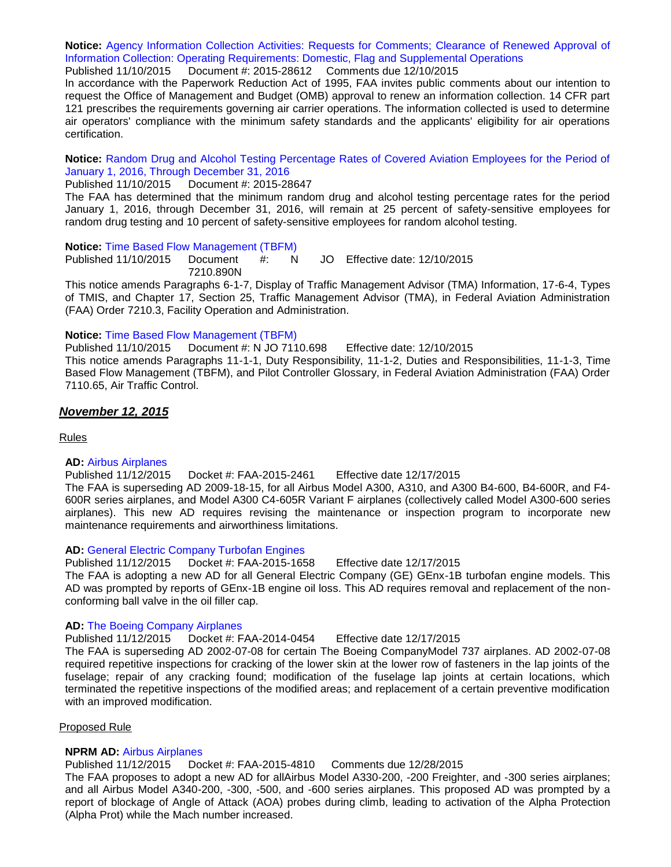**Notice:** [Agency Information Collection Activities: Requests for Comments; Clearance of Renewed Approval of](https://www.federalregister.gov/articles/2015/11/10/2015-28612/agency-information-collection-activities-requests-for-comments-clearance-of-renewed-approval-of)  [Information Collection: Operating Requirements: Domestic, Flag and Supplemental Operations](https://www.federalregister.gov/articles/2015/11/10/2015-28612/agency-information-collection-activities-requests-for-comments-clearance-of-renewed-approval-of)

Published 11/10/2015 Document #: 2015-28612 Comments due 12/10/2015

In accordance with the Paperwork Reduction Act of 1995, FAA invites public comments about our intention to request the Office of Management and Budget (OMB) approval to renew an information collection. 14 CFR part 121 prescribes the requirements governing air carrier operations. The information collected is used to determine air operators' compliance with the minimum safety standards and the applicants' eligibility for air operations certification.

**Notice:** [Random Drug and Alcohol Testing Percentage Rates of Covered Aviation Employees for the Period of](https://www.federalregister.gov/articles/2015/11/10/2015-28647/random-drug-and-alcohol-testing-percentage-rates-of-covered-aviation-employees-for-the-period-of)  [January 1, 2016, Through December 31, 2016](https://www.federalregister.gov/articles/2015/11/10/2015-28647/random-drug-and-alcohol-testing-percentage-rates-of-covered-aviation-employees-for-the-period-of)

Published 11/10/2015 Document #: 2015-28647

The FAA has determined that the minimum random drug and alcohol testing percentage rates for the period January 1, 2016, through December 31, 2016, will remain at 25 percent of safety-sensitive employees for random drug testing and 10 percent of safety-sensitive employees for random alcohol testing.

#### **Notice:** [Time Based Flow Management \(TBFM\)](http://www.faa.gov/regulations_policies/orders_notices/index.cfm/go/document.information/documentID/1028575)

Published 11/10/2015 Document #: N 7210.890N Effective date: 12/10/2015

This notice amends Paragraphs 6-1-7, Display of Traffic Management Advisor (TMA) Information, 17-6-4, Types of TMIS, and Chapter 17, Section 25, Traffic Management Advisor (TMA), in Federal Aviation Administration (FAA) Order 7210.3, Facility Operation and Administration.

#### **Notice:** [Time Based Flow Management \(TBFM\)](http://www.faa.gov/documentLibrary/media/Notice/NOTICE_7110.698_TBFM.pdf)

Published 11/10/2015 Document #: N JO 7110.698 Effective date: 12/10/2015 This notice amends Paragraphs 11-1-1, Duty Responsibility, 11-1-2, Duties and Responsibilities, 11-1-3, Time Based Flow Management (TBFM), and Pilot Controller Glossary, in Federal Aviation Administration (FAA) Order 7110.65, Air Traffic Control.

#### *November 12, 2015*

Rules

#### **AD:** [Airbus Airplanes](https://www.federalregister.gov/articles/2015/11/12/2015-27449/airworthiness-directives-airbus-airplanes)

Published 11/12/2015 Docket #: FAA-2015-2461 Effective date 12/17/2015

The FAA is superseding AD 2009-18-15, for all Airbus Model A300, A310, and A300 B4-600, B4-600R, and F4- 600R series airplanes, and Model A300 C4-605R Variant F airplanes (collectively called Model A300-600 series airplanes). This new AD requires revising the maintenance or inspection program to incorporate new maintenance requirements and airworthiness limitations.

#### **AD:** [General Electric Company Turbofan Engines](https://www.federalregister.gov/articles/2015/11/12/2015-28747/airworthiness-directives-general-electric-company-turbofan-engines)

Published 11/12/2015 Docket #: FAA-2015-1658 Effective date 12/17/2015

The FAA is adopting a new AD for all General Electric Company (GE) GEnx-1B turbofan engine models. This AD was prompted by reports of GEnx-1B engine oil loss. This AD requires removal and replacement of the nonconforming ball valve in the oil filler cap.

#### **AD:** The [Boeing Company Airplanes](https://www.federalregister.gov/articles/2015/11/12/2015-26616/airworthiness-directives-the-boeing-company-airplanes)

Published 11/12/2015 Docket #: FAA-2014-0454 Effective date 12/17/2015

The FAA is superseding AD 2002-07-08 for certain The Boeing CompanyModel 737 airplanes. AD 2002-07-08 required repetitive inspections for cracking of the lower skin at the lower row of fasteners in the lap joints of the fuselage; repair of any cracking found; modification of the fuselage lap joints at certain locations, which terminated the repetitive inspections of the modified areas; and replacement of a certain preventive modification with an improved modification.

#### Proposed Rule

#### **NPRM AD:** [Airbus Airplanes](https://www.federalregister.gov/articles/2015/11/12/2015-28559/airworthiness-directives-airbus-airplanes)

#### Published 11/12/2015 Docket #: FAA-2015-4810 Comments due 12/28/2015

The FAA proposes to adopt a new AD for allAirbus Model A330-200, -200 Freighter, and -300 series airplanes; and all Airbus Model A340-200, -300, -500, and -600 series airplanes. This proposed AD was prompted by a report of blockage of Angle of Attack (AOA) probes during climb, leading to activation of the Alpha Protection (Alpha Prot) while the Mach number increased.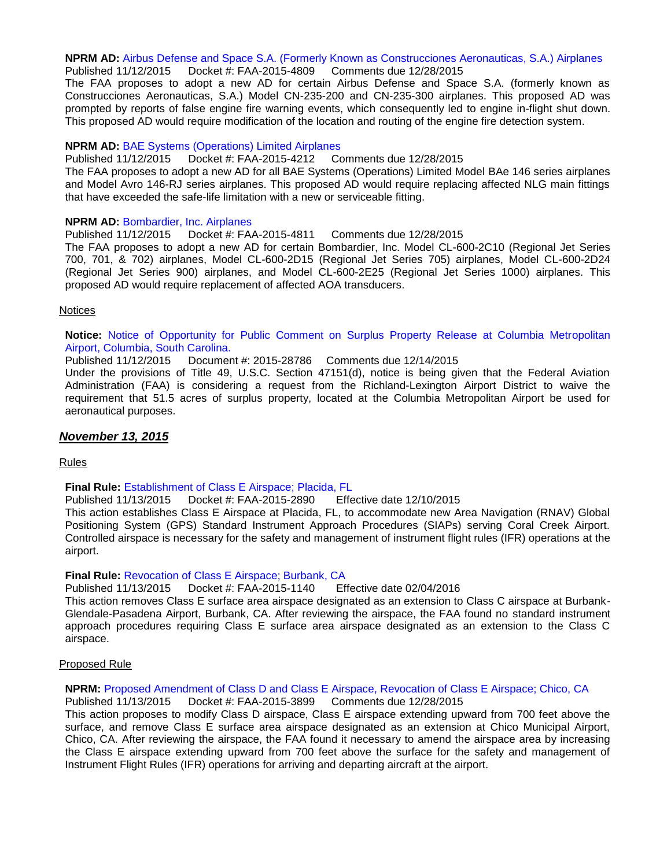#### **NPRM AD:** [Airbus Defense and Space S.A. \(Formerly Known as Construcciones Aeronauticas, S.A.\) Airplanes](https://www.federalregister.gov/articles/2015/11/12/2015-28560/airworthiness-directives-airbus-defense-and-space-sa-formerly-known-as-construcciones-aeronauticas) Published 11/12/2015 Docket #: FAA-2015-4809 Comments due 12/28/2015

The FAA proposes to adopt a new AD for certain Airbus Defense and Space S.A. (formerly known as Construcciones Aeronauticas, S.A.) Model CN-235-200 and CN-235-300 airplanes. This proposed AD was prompted by reports of false engine fire warning events, which consequently led to engine in-flight shut down. This proposed AD would require modification of the location and routing of the engine fire detection system.

#### **NPRM AD:** [BAE Systems \(Operations\) Limited Airplanes](https://www.federalregister.gov/articles/2015/11/12/2015-28561/airworthiness-directives-bae-systems-operations-limited-airplanes)

Published 11/12/2015 Docket #: FAA-2015-4212 Comments due 12/28/2015

The FAA proposes to adopt a new AD for all BAE Systems (Operations) Limited Model BAe 146 series airplanes and Model Avro 146-RJ series airplanes. This proposed AD would require replacing affected NLG main fittings that have exceeded the safe-life limitation with a new or serviceable fitting.

#### **NPRM AD:** [Bombardier, Inc. Airplanes](https://www.federalregister.gov/articles/2015/11/12/2015-28562/airworthiness-directives-bombardier-inc-airplanes)

Published 11/12/2015 Docket #: FAA-2015-4811 Comments due 12/28/2015 The FAA proposes to adopt a new AD for certain Bombardier, Inc. Model CL-600-2C10 (Regional Jet Series 700, 701, & 702) airplanes, Model CL-600-2D15 (Regional Jet Series 705) airplanes, Model CL-600-2D24 (Regional Jet Series 900) airplanes, and Model CL-600-2E25 (Regional Jet Series 1000) airplanes. This proposed AD would require replacement of affected AOA transducers.

#### Notices

**Notice:** [Notice of Opportunity for Public Comment on Surplus Property Release at Columbia Metropolitan](https://www.federalregister.gov/articles/2015/11/12/2015-28786/notice-of-opportunity-for-public-comment-on-surplus-property-release-at-columbia-metropolitan)  [Airport, Columbia, South Carolina.](https://www.federalregister.gov/articles/2015/11/12/2015-28786/notice-of-opportunity-for-public-comment-on-surplus-property-release-at-columbia-metropolitan)

Published 11/12/2015 Document #: 2015-28786 Comments due 12/14/2015

Under the provisions of Title 49, U.S.C. Section 47151(d), notice is being given that the Federal Aviation Administration (FAA) is considering a request from the Richland-Lexington Airport District to waive the requirement that 51.5 acres of surplus property, located at the Columbia Metropolitan Airport be used for aeronautical purposes.

#### *November 13, 2015*

Rules

#### **Final Rule:** [Establishment of Class E Airspace; Placida, FL](https://www.federalregister.gov/articles/2015/11/13/2015-28782/establishment-of-class-e-airspace-placida-fl)

Published 11/13/2015 Docket #: FAA-2015-2890 Effective date 12/10/2015

This action establishes Class E Airspace at Placida, FL, to accommodate new Area Navigation (RNAV) Global Positioning System (GPS) Standard Instrument Approach Procedures (SIAPs) serving Coral Creek Airport. Controlled airspace is necessary for the safety and management of instrument flight rules (IFR) operations at the airport.

#### **Final Rule:** [Revocation of Class E Airspace; Burbank, CA](https://www.federalregister.gov/articles/2015/11/13/2015-28785/revocation-of-class-e-airspace-burbank-ca)

Published 11/13/2015 Docket #: FAA-2015-1140 Effective date 02/04/2016

This action removes Class E surface area airspace designated as an extension to Class C airspace at Burbank-Glendale-Pasadena Airport, Burbank, CA. After reviewing the airspace, the FAA found no standard instrument approach procedures requiring Class E surface area airspace designated as an extension to the Class C airspace.

#### Proposed Rule

#### **NPRM:** [Proposed Amendment of Class D and Class E Airspace, Revocation of Class E Airspace; Chico, CA](https://www.federalregister.gov/articles/2015/11/13/2015-28793/proposed-amendment-of-class-d-and-class-e-airspace-revocation-of-class-e-airspace-chico-ca) Published 11/13/2015 Docket #: FAA-2015-3899 Comments due 12/28/2015

This action proposes to modify Class D airspace, Class E airspace extending upward from 700 feet above the surface, and remove Class E surface area airspace designated as an extension at Chico Municipal Airport, Chico, CA. After reviewing the airspace, the FAA found it necessary to amend the airspace area by increasing the Class E airspace extending upward from 700 feet above the surface for the safety and management of Instrument Flight Rules (IFR) operations for arriving and departing aircraft at the airport.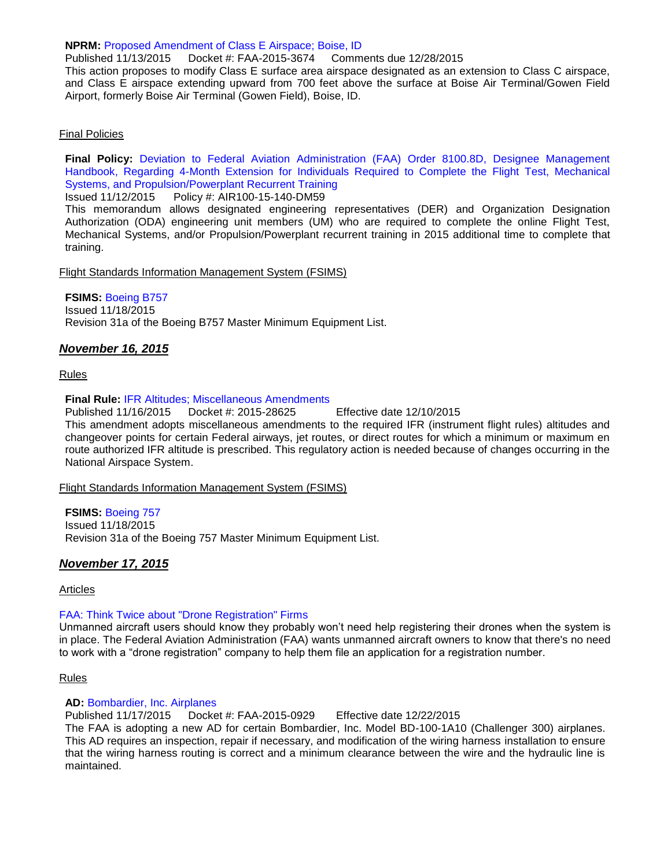#### **NPRM:** [Proposed Amendment of Class E Airspace; Boise, ID](https://www.federalregister.gov/articles/2015/11/13/2015-28784/proposed-amendment-of-class-e-airspace-boise-id)

Published 11/13/2015 Docket #: FAA-2015-3674 Comments due 12/28/2015 This action proposes to modify Class E surface area airspace designated as an extension to Class C airspace, and Class E airspace extending upward from 700 feet above the surface at Boise Air Terminal/Gowen Field Airport, formerly Boise Air Terminal (Gowen Field), Boise, ID.

#### Final Policies

**Final Policy:** [Deviation to Federal Aviation Administration \(FAA\) Order 8100.8D, Designee Management](http://rgl.faa.gov/Regulatory_and_Guidance_Library/rgPolicy.nsf/0/0CD75699F9A5C5A586257EFB00741950?OpenDocument) [Handbook, Regarding 4-Month Extension for Individuals Required to Complete the Flight Test, Mechanical](http://rgl.faa.gov/Regulatory_and_Guidance_Library/rgPolicy.nsf/0/0CD75699F9A5C5A586257EFB00741950?OpenDocument)  [Systems, and Propulsion/Powerplant Recurrent Training](http://rgl.faa.gov/Regulatory_and_Guidance_Library/rgPolicy.nsf/0/0CD75699F9A5C5A586257EFB00741950?OpenDocument)

#### Issued 11/12/2015 Policy #: AIR100-15-140-DM59

This memorandum allows designated engineering representatives (DER) and Organization Designation Authorization (ODA) engineering unit members (UM) who are required to complete the online Flight Test, Mechanical Systems, and/or Propulsion/Powerplant recurrent training in 2015 additional time to complete that training.

Flight Standards Information Management System (FSIMS)

#### **FSIMS:** [Boeing B757](http://fsims.faa.gov/PICDetail.aspx?docId=M%20B-757%20R31A)

Issued 11/18/2015 Revision 31a of the Boeing B757 Master Minimum Equipment List.

#### *November 16, 2015*

#### Rules

#### **Final Rule:** [IFR Altitudes; Miscellaneous Amendments](https://www.federalregister.gov/articles/2015/11/16/2015-28625/ifr-altitudes-miscellaneous-amendments)

Published 11/16/2015 Docket #: 2015-28625 Effective date 12/10/2015 This amendment adopts miscellaneous amendments to the required IFR (instrument flight rules) altitudes and changeover points for certain Federal airways, jet routes, or direct routes for which a minimum or maximum en route authorized IFR altitude is prescribed. This regulatory action is needed because of changes occurring in the National Airspace System.

Flight Standards Information Management System (FSIMS)

#### **FSIMS:** [Boeing 757](http://fsims.faa.gov/PICDetail.aspx?docId=M%20B-757%20R31A)

Issued 11/18/2015 Revision 31a of the Boeing 757 Master Minimum Equipment List.

#### *November 17, 2015*

#### Articles

#### [FAA: Think Twice about "Drone Registration" Firms](http://www.faa.gov/news/updates/?newsId=84245)

Unmanned aircraft users should know they probably won't need help registering their drones when the system is in place. The Federal Aviation Administration (FAA) wants unmanned aircraft owners to know that there's no need to work with a "drone registration" company to help them file an application for a registration number.

#### Rules

#### **AD:** [Bombardier, Inc. Airplanes](https://www.federalregister.gov/articles/2015/11/17/2015-28822/airworthiness-directives-bombardier-inc-airplanes)

Published 11/17/2015 Docket #: FAA-2015-0929 Effective date 12/22/2015

The FAA is adopting a new AD for certain Bombardier, Inc. Model BD-100-1A10 (Challenger 300) airplanes. This AD requires an inspection, repair if necessary, and modification of the wiring harness installation to ensure that the wiring harness routing is correct and a minimum clearance between the wire and the hydraulic line is maintained.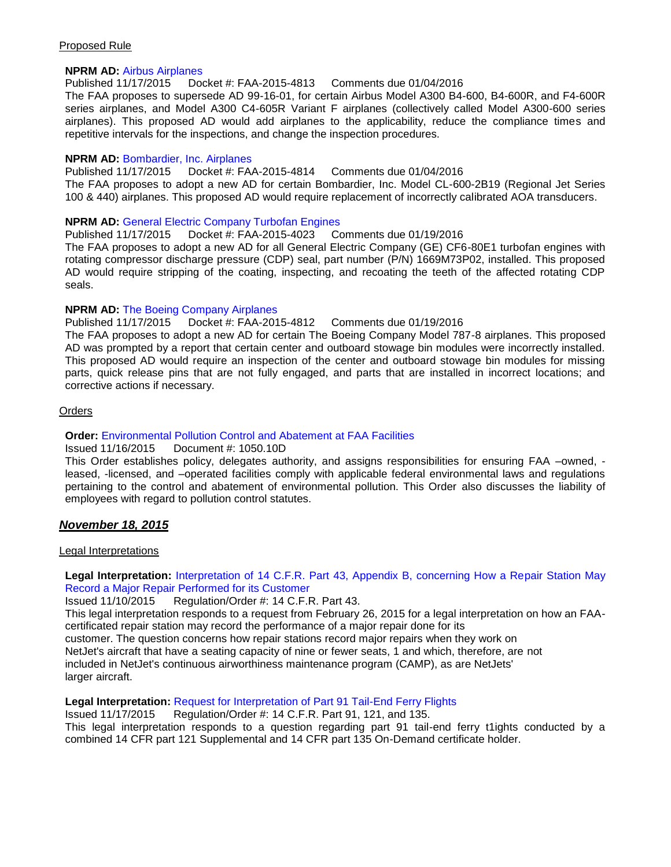#### Proposed Rule

#### **NPRM AD:** [Airbus Airplanes](https://www.federalregister.gov/articles/2015/11/17/2015-28892/airworthiness-directives-airbus-airplanes)

Published 11/17/2015 Docket #: FAA-2015-4813 Comments due 01/04/2016

The FAA proposes to supersede AD 99-16-01, for certain Airbus Model A300 B4-600, B4-600R, and F4-600R series airplanes, and Model A300 C4-605R Variant F airplanes (collectively called Model A300-600 series airplanes). This proposed AD would add airplanes to the applicability, reduce the compliance times and repetitive intervals for the inspections, and change the inspection procedures.

#### **NPRM AD:** [Bombardier, Inc. Airplanes](https://www.federalregister.gov/articles/2015/11/17/2015-28885/airworthiness-directives-bombardier-inc-airplanes)

Published 11/17/2015 Docket #: FAA-2015-4814 Comments due 01/04/2016 The FAA proposes to adopt a new AD for certain Bombardier, Inc. Model CL-600-2B19 (Regional Jet Series 100 & 440) airplanes. This proposed AD would require replacement of incorrectly calibrated AOA transducers.

#### **NPRM AD:** [General Electric Company Turbofan Engines](https://www.federalregister.gov/articles/2015/11/17/2015-28898/airworthiness-directives-general-electric-company-turbofan-engines)

Published 11/17/2015 Docket #: FAA-2015-4023 Comments due 01/19/2016

The FAA proposes to adopt a new AD for all General Electric Company (GE) CF6-80E1 turbofan engines with rotating compressor discharge pressure (CDP) seal, part number (P/N) 1669M73P02, installed. This proposed AD would require stripping of the coating, inspecting, and recoating the teeth of the affected rotating CDP seals.

#### **NPRM AD:** [The Boeing Company Airplanes](https://www.federalregister.gov/articles/2015/11/17/2015-28882/airworthiness-directives-the-boeing-company-airplanes)

#### Published 11/17/2015 Docket #: FAA-2015-4812 Comments due 01/19/2016

The FAA proposes to adopt a new AD for certain The Boeing Company Model 787-8 airplanes. This proposed AD was prompted by a report that certain center and outboard stowage bin modules were incorrectly installed. This proposed AD would require an inspection of the center and outboard stowage bin modules for missing parts, quick release pins that are not fully engaged, and parts that are installed in incorrect locations; and corrective actions if necessary.

#### Orders

#### **Order:** [Environmental Pollution Control and Abatement at FAA Facilities](http://www.faa.gov/regulations_policies/orders_notices/index.cfm/go/document.information/documentID/1028586)

#### Issued 11/16/2015 Document #: 1050.10D

This Order establishes policy, delegates authority, and assigns responsibilities for ensuring FAA –owned, leased, -licensed, and –operated facilities comply with applicable federal environmental laws and regulations pertaining to the control and abatement of environmental pollution. This Order also discusses the liability of employees with regard to pollution control statutes.

#### *November 18, 2015*

#### Legal Interpretations

#### **Legal Interpretation:** [Interpretation of 14 C.F.R. Part 43, Appendix B, concerning How a Repair Station May](http://www.faa.gov/about/office_org/headquarters_offices/agc/pol_adjudication/agc200/interpretations/data/interps/2015/Tran-NetJets%20-%20(2015)%20Legal%20Interpretation.pdf)  [Record a Major Repair Performed for its Customer](http://www.faa.gov/about/office_org/headquarters_offices/agc/pol_adjudication/agc200/interpretations/data/interps/2015/Tran-NetJets%20-%20(2015)%20Legal%20Interpretation.pdf)

Issued 11/10/2015 Regulation/Order #: 14 C.F.R. Part 43.

This legal interpretation responds to a request from February 26, 2015 for a legal interpretation on how an FAAcertificated repair station may record the performance of a major repair done for its

customer. The question concerns how repair stations record major repairs when they work on NetJet's aircraft that have a seating capacity of nine or fewer seats, 1 and which, therefore, are not included in NetJet's continuous airworthiness maintenance program (CAMP), as are NetJets' larger aircraft.

#### **Legal Interpretation:** [Request for Interpretation of Part 91 Tail-End Ferry Flights](http://www.faa.gov/about/office_org/headquarters_offices/agc/pol_adjudication/agc200/interpretations/data/interps/2015/Slater%20-%20(2015)%20Legal%20Interpretation.pdf)

Issued 11/17/2015 Regulation/Order #: 14 C.F.R. Part 91, 121, and 135.

This legal interpretation responds to a question regarding part 91 tail-end ferry t1ights conducted by a combined 14 CFR part 121 Supplemental and 14 CFR part 135 On-Demand certificate holder.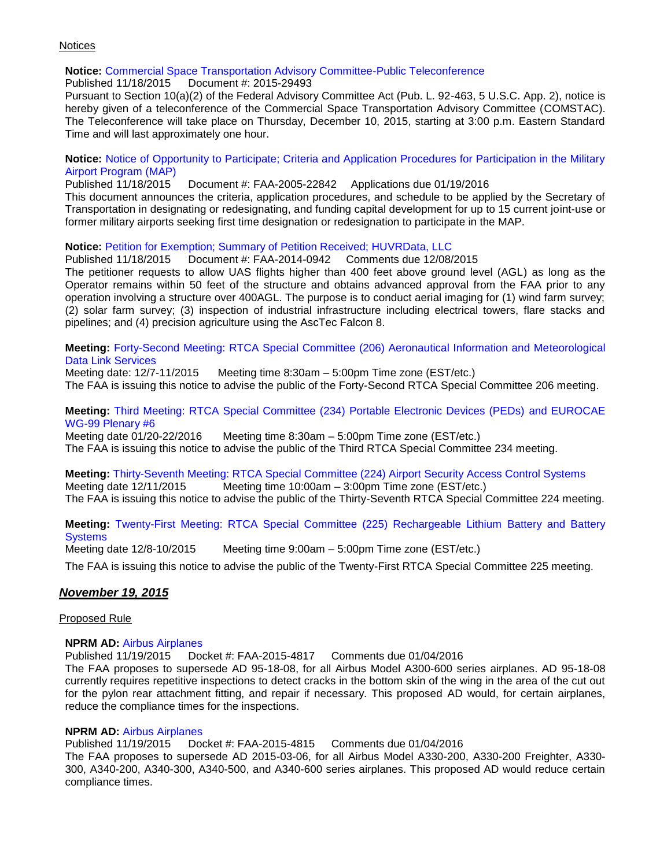#### **Notices**

Time and will last approximately one hour.

## **Notice:** [Commercial Space Transportation Advisory Committee-Public Teleconference](https://www.federalregister.gov/articles/2015/11/18/2015-29493/commercial-space-transportation-advisory-committee-public-teleconference)

Published 11/18/2015 Document #: 2015-29493 Pursuant to Section 10(a)(2) of the Federal Advisory Committee Act (Pub. L. 92-463, 5 U.S.C. App. 2), notice is hereby given of a teleconference of the Commercial Space Transportation Advisory Committee (COMSTAC). The Teleconference will take place on Thursday, December 10, 2015, starting at 3:00 p.m. Eastern Standard

#### **Notice:** [Notice of Opportunity to Participate; Criteria and Application Procedures for Participation in the Military](Notice%20of%20Opportunity%20to%20Participate;%20Criteria%20and%20Application%20Procedures%20for%20Participation%20in%20the%20Military%20Airport%20Program%20(MAP))  [Airport Program \(MAP\)](Notice%20of%20Opportunity%20to%20Participate;%20Criteria%20and%20Application%20Procedures%20for%20Participation%20in%20the%20Military%20Airport%20Program%20(MAP))

Published 11/18/2015 Document #: FAA-2005-22842 Applications due 01/19/2016 This document announces the criteria, application procedures, and schedule to be applied by the Secretary of Transportation in designating or redesignating, and funding capital development for up to 15 current joint-use or former military airports seeking first time designation or redesignation to participate in the MAP.

#### **Notice:** [Petition for Exemption; Summary of Petition Received; HUVRData, LLC](https://www.federalregister.gov/articles/2015/11/18/2015-29419/petition-for-exemption-summary-of-petition-received-huvrdata-llc)

#### Published 11/18/2015 Document #: FAA-2014-0942 Comments due 12/08/2015

The petitioner requests to allow UAS flights higher than 400 feet above ground level (AGL) as long as the Operator remains within 50 feet of the structure and obtains advanced approval from the FAA prior to any operation involving a structure over 400AGL. The purpose is to conduct aerial imaging for (1) wind farm survey; (2) solar farm survey; (3) inspection of industrial infrastructure including electrical towers, flare stacks and pipelines; and (4) precision agriculture using the AscTec Falcon 8.

#### **Meeting:** [Forty-Second Meeting: RTCA Special Committee \(206\) Aeronautical Information and Meteorological](https://www.federalregister.gov/articles/2015/11/18/2015-29387/forty-second-meeting-rtca-special-committee-206-aeronautical-information-and-meteorological-data)  [Data Link Services](https://www.federalregister.gov/articles/2015/11/18/2015-29387/forty-second-meeting-rtca-special-committee-206-aeronautical-information-and-meteorological-data)

Meeting date: 12/7-11/2015 Meeting time 8:30am – 5:00pm Time zone (EST/etc.) The FAA is issuing this notice to advise the public of the Forty-Second RTCA Special Committee 206 meeting.

#### **Meeting:** [Third Meeting: RTCA Special Committee \(234\) Portable Electronic Devices \(PEDs\) and EUROCAE](https://www.federalregister.gov/articles/2015/11/18/2015-29388/third-meeting-rtca-special-committee-234-portable-electronic-devices-peds-and-eurocae-wg-99-plenary)  [WG-99 Plenary #6](https://www.federalregister.gov/articles/2015/11/18/2015-29388/third-meeting-rtca-special-committee-234-portable-electronic-devices-peds-and-eurocae-wg-99-plenary)

Meeting date 01/20-22/2016 Meeting time 8:30am – 5:00pm Time zone (EST/etc.) The FAA is issuing this notice to advise the public of the Third RTCA Special Committee 234 meeting.

## **Meeting:** Thirty-Seventh Meeting: RTCA [Special Committee \(224\) Airport Security Access Control Systems](https://www.federalregister.gov/articles/2015/11/18/2015-29389/thirty-seventh-meeting-rtca-special-committee-224-airport-security-access-control-systems)

Meeting date 12/11/2015 Meeting time 10:00am – 3:00pm Time zone (EST/etc.)

The FAA is issuing this notice to advise the public of the Thirty-Seventh RTCA Special Committee 224 meeting.

#### **Meeting:** [Twenty-First Meeting: RTCA Special Committee \(225\) Rechargeable Lithium](https://www.federalregister.gov/articles/2015/11/18/2015-29386/twenty-first-meeting-rtca-special-committee-225-rechargeable-lithium-battery-and-battery-systems) Battery and Battery **[Systems](https://www.federalregister.gov/articles/2015/11/18/2015-29386/twenty-first-meeting-rtca-special-committee-225-rechargeable-lithium-battery-and-battery-systems)**

Meeting date 12/8-10/2015 Meeting time 9:00am – 5:00pm Time zone (EST/etc.)

The FAA is issuing this notice to advise the public of the Twenty-First RTCA Special Committee 225 meeting.

#### *November 19, 2015*

#### Proposed Rule

#### **NPRM AD:** [Airbus Airplanes](https://www.federalregister.gov/articles/2015/11/19/2015-29443/airworthiness-directives-airbus-airplanes)

Published 11/19/2015 Docket #: FAA-2015-4817 Comments due 01/04/2016 The FAA proposes to supersede AD 95-18-08, for all Airbus Model A300-600 series airplanes. AD 95-18-08 currently requires repetitive inspections to detect cracks in the bottom skin of the wing in the area of the cut out for the pylon rear attachment fitting, and repair if necessary. This proposed AD would, for certain airplanes, reduce the compliance times for the inspections.

#### **NPRM AD:** [Airbus Airplanes](https://www.federalregister.gov/articles/2015/11/19/2015-29442/airworthiness-directives-airbus-airplanes)

Published 11/19/2015 Docket #: FAA-2015-4815 Comments due 01/04/2016

The FAA proposes to supersede AD 2015-03-06, for all Airbus Model A330-200, A330-200 Freighter, A330- 300, A340-200, A340-300, A340-500, and A340-600 series airplanes. This proposed AD would reduce certain compliance times.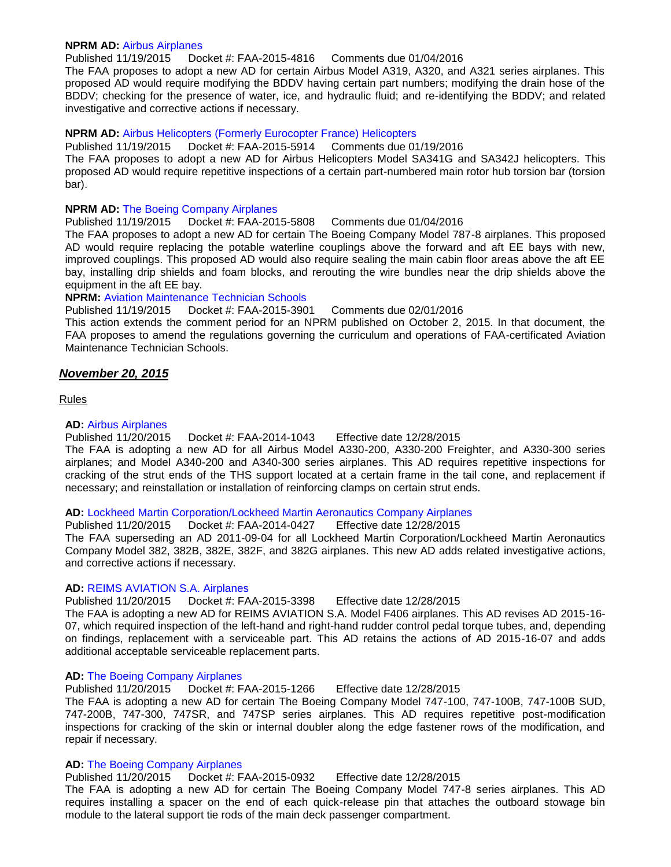#### **NPRM AD:** [Airbus Airplanes](https://www.federalregister.gov/articles/2015/11/19/2015-29444/airworthiness-directives-airbus-airplanes)

Published 11/19/2015 Docket #: FAA-2015-4816 Comments due 01/04/2016

The FAA proposes to adopt a new AD for certain Airbus Model A319, A320, and A321 series airplanes. This proposed AD would require modifying the BDDV having certain part numbers; modifying the drain hose of the BDDV; checking for the presence of water, ice, and hydraulic fluid; and re-identifying the BDDV; and related investigative and corrective actions if necessary.

#### **NPRM AD:** [Airbus Helicopters \(Formerly Eurocopter France\) Helicopters](https://www.federalregister.gov/articles/2015/11/19/2015-29402/airworthiness-directives-airbus-helicopters-formerly-eurocopter-france-helicopters)

Published 11/19/2015 Docket #: FAA-2015-5914 Comments due 01/19/2016 The FAA proposes to adopt a new AD for Airbus Helicopters Model SA341G and SA342J helicopters. This proposed AD would require repetitive inspections of a certain part-numbered main rotor hub torsion bar (torsion bar).

#### **NPRM AD:** [The Boeing Company Airplanes](https://www.federalregister.gov/articles/2015/11/19/2015-29441/airworthiness-directives-the-boeing-company-airplanes)

Published 11/19/2015 Docket #: FAA-2015-5808 Comments due 01/04/2016

The FAA proposes to adopt a new AD for certain The Boeing Company Model 787-8 airplanes. This proposed AD would require replacing the potable waterline couplings above the forward and aft EE bays with new, improved couplings. This proposed AD would also require sealing the main cabin floor areas above the aft EE bay, installing drip shields and foam blocks, and rerouting the wire bundles near the drip shields above the equipment in the aft EE bay.

#### **NPRM:** [Aviation Maintenance Technician Schools](https://www.federalregister.gov/articles/2015/11/19/2015-29505/aviation-maintenance-technician-schools)

Published 11/19/2015 Docket #: FAA-2015-3901 Comments due 02/01/2016

This action extends the comment period for an NPRM published on October 2, 2015. In that document, the FAA proposes to amend the regulations governing the curriculum and operations of FAA-certificated Aviation Maintenance Technician Schools.

#### *November 20, 2015*

Rules

#### **AD:** [Airbus Airplanes](https://www.federalregister.gov/articles/2015/11/20/2015-28895/airworthiness-directives-airbus-airplanes)

Published 11/20/2015 Docket #: FAA-2014-1043 Effective date 12/28/2015

The FAA is adopting a new AD for all Airbus Model A330-200, A330-200 Freighter, and A330-300 series airplanes; and Model A340-200 and A340-300 series airplanes. This AD requires repetitive inspections for cracking of the strut ends of the THS support located at a certain frame in the tail cone, and replacement if necessary; and reinstallation or installation of reinforcing clamps on certain strut ends.

#### **AD:** [Lockheed Martin Corporation/Lockheed Martin Aeronautics Company Airplanes](https://www.federalregister.gov/articles/2015/11/20/2015-28464/airworthiness-directives-lockheed-martin-corporationlockheed-martin-aeronautics-company-airplanes)

Published 11/20/2015 Docket #: FAA-2014-0427 Effective date 12/28/2015 The FAA superseding an AD 2011-09-04 for all Lockheed Martin Corporation/Lockheed Martin Aeronautics Company Model 382, 382B, 382E, 382F, and 382G airplanes. This new AD adds related investigative actions, and corrective actions if necessary.

#### **AD:** [REIMS AVIATION S.A. Airplanes](https://www.federalregister.gov/articles/2015/11/20/2015-29200/airworthiness-directives-reims-aviation-sa-airplanes)

Published 11/20/2015 Docket #: FAA-2015-3398 Effective date 12/28/2015

The FAA is adopting a new AD for REIMS AVIATION S.A. Model F406 airplanes. This AD revises AD 2015-16- 07, which required inspection of the left-hand and right-hand rudder control pedal torque tubes, and, depending on findings, replacement with a serviceable part. This AD retains the actions of AD 2015-16-07 and adds additional acceptable serviceable replacement parts.

#### **AD:** [The Boeing Company Airplanes](https://www.federalregister.gov/articles/2015/11/20/2015-28891/airworthiness-directives-the-boeing-company-airplanes)

Published 11/20/2015 Docket #: FAA-2015-1266 Effective date 12/28/2015

The FAA is adopting a new AD for certain The Boeing Company Model 747-100, 747-100B, 747-100B SUD, 747-200B, 747-300, 747SR, and 747SP series airplanes. This AD requires repetitive post-modification inspections for cracking of the skin or internal doubler along the edge fastener rows of the modification, and repair if necessary.

#### **AD:** [The Boeing Company Airplanes](https://www.federalregister.gov/articles/2015/11/20/2015-28897/airworthiness-directives-the-boeing-company-airplanes)

Published 11/20/2015 Docket #: FAA-2015-0932 Effective date 12/28/2015

The FAA is adopting a new AD for certain The Boeing Company Model 747-8 series airplanes. This AD requires installing a spacer on the end of each quick-release pin that attaches the outboard stowage bin module to the lateral support tie rods of the main deck passenger compartment.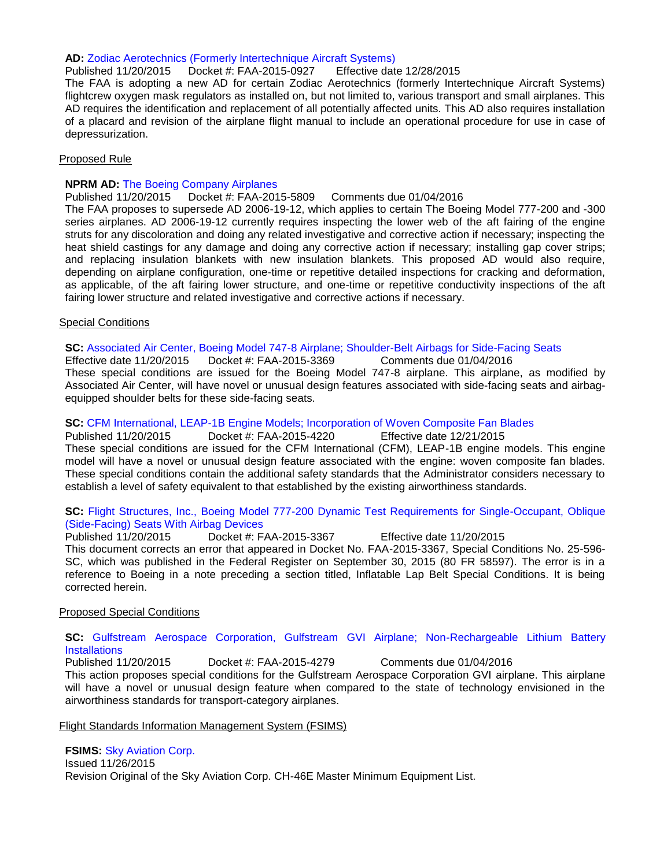#### **AD:** [Zodiac Aerotechnics \(Formerly Intertechnique Aircraft Systems\)](https://www.federalregister.gov/articles/2015/11/20/2015-28883/airworthiness-directives-zodiac-aerotechnics-formerly-intertechnique-aircraft-systems)

Published 11/20/2015 Docket #: FAA-2015-0927 Effective date 12/28/2015

The FAA is adopting a new AD for certain Zodiac Aerotechnics (formerly Intertechnique Aircraft Systems) flightcrew oxygen mask regulators as installed on, but not limited to, various transport and small airplanes. This AD requires the identification and replacement of all potentially affected units. This AD also requires installation of a placard and revision of the airplane flight manual to include an operational procedure for use in case of depressurization.

#### Proposed Rule

#### **NPRM AD:** [The Boeing Company Airplanes](https://www.federalregister.gov/articles/2015/11/20/2015-29617/airworthiness-directives-the-boeing-company-airplanes)

Published 11/20/2015 Docket #: FAA-2015-5809 Comments due 01/04/2016

The FAA proposes to supersede AD 2006-19-12, which applies to certain The Boeing Model 777-200 and -300 series airplanes. AD 2006-19-12 currently requires inspecting the lower web of the aft fairing of the engine struts for any discoloration and doing any related investigative and corrective action if necessary; inspecting the heat shield castings for any damage and doing any corrective action if necessary; installing gap cover strips; and replacing insulation blankets with new insulation blankets. This proposed AD would also require, depending on airplane configuration, one-time or repetitive detailed inspections for cracking and deformation, as applicable, of the aft fairing lower structure, and one-time or repetitive conductivity inspections of the aft fairing lower structure and related investigative and corrective actions if necessary.

#### Special Conditions

**SC:** [Associated Air Center, Boeing Model 747-8 Airplane; Shoulder-Belt Airbags for Side-Facing Seats](https://www.federalregister.gov/articles/2015/11/20/2015-29625/special-conditions-associated-air-center-boeing-model-747-8-airplane-shoulder-belt-airbags-for)

Effective date 11/20/2015 Docket #: FAA-2015-3369 Comments due 01/04/2016 These special conditions are issued for the Boeing Model 747-8 airplane. This airplane, as modified by Associated Air Center, will have novel or unusual design features associated with side-facing seats and airbagequipped shoulder belts for these side-facing seats.

#### **SC:** [CFM International, LEAP-1B Engine Models; Incorporation of Woven Composite Fan Blades](https://www.federalregister.gov/articles/2015/11/20/2015-29589/special-conditions-cfm-international-leap-1b-engine-models-incorporation-of-woven-composite-fan)

Published 11/20/2015 Docket #: FAA-2015-4220 Effective date 12/21/2015 These special conditions are issued for the CFM International (CFM), LEAP-1B engine models. This engine model will have a novel or unusual design feature associated with the engine: woven composite fan blades. These special conditions contain the additional safety standards that the Administrator considers necessary to establish a level of safety equivalent to that established by the existing airworthiness standards.

## **SC:** [Flight Structures, Inc., Boeing Model 777-200 Dynamic Test Requirements for Single-Occupant, Oblique](https://www.federalregister.gov/articles/2015/11/20/2015-29624/special-conditions-flight-structures-inc-boeing-model-777-200-dynamic-test-requirements-for)  [\(Side-Facing\) Seats With Airbag Devices](https://www.federalregister.gov/articles/2015/11/20/2015-29624/special-conditions-flight-structures-inc-boeing-model-777-200-dynamic-test-requirements-for)<br>Published 11/20/2015 Docket #: F

Published 11/20/2015 Docket #: FAA-2015-3367 Effective date 11/20/2015 This document corrects an error that appeared in Docket No. FAA-2015-3367, Special Conditions No. 25-596- SC, which was published in the Federal Register on September 30, 2015 (80 FR 58597). The error is in a reference to Boeing in a note preceding a section titled, Inflatable Lap Belt Special Conditions. It is being corrected herein.

#### Proposed Special Conditions

#### **SC:** [Gulfstream Aerospace Corporation, Gulfstream GVI Airplane; Non-Rechargeable Lithium Battery](https://www.federalregister.gov/articles/2015/11/20/2015-29626/special-conditions-gulfstream-aerospace-corporation-gulfstream-gvi-airplane-non-rechargeable-lithium)  **[Installations](https://www.federalregister.gov/articles/2015/11/20/2015-29626/special-conditions-gulfstream-aerospace-corporation-gulfstream-gvi-airplane-non-rechargeable-lithium)**

Published 11/20/2015 Docket #: FAA-2015-4279 Comments due 01/04/2016 This action proposes special conditions for the Gulfstream Aerospace Corporation GVI airplane. This airplane will have a novel or unusual design feature when compared to the state of technology envisioned in the airworthiness standards for transport-category airplanes.

Flight Standards Information Management System (FSIMS)

#### **FSIMS:** [Sky Aviation Corp.](http://fsims.faa.gov/PICDetail.aspx?docId=M%20CH-46E%20R0)

Issued 11/26/2015 Revision Original of the Sky Aviation Corp. CH-46E Master Minimum Equipment List.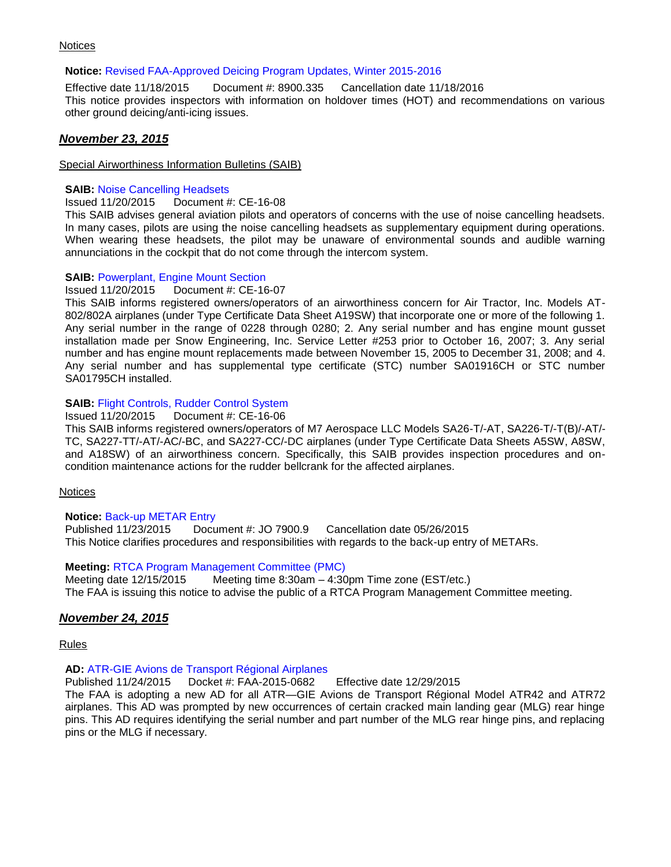#### **Notices**

#### **Notice:** [Revised FAA-Approved Deicing Program Updates, Winter 2015-2016](http://www.faa.gov/regulations_policies/orders_notices/index.cfm/go/document.information/documentID/1028606)

Effective date 11/18/2015 Document #: 8900.335 Cancellation date 11/18/2016 This notice provides inspectors with information on holdover times (HOT) and recommendations on various other ground deicing/anti-icing issues.

#### *November 23, 2015*

#### Special Airworthiness Information Bulletins (SAIB)

#### **SAIB: [Noise Cancelling Headsets](http://rgl.faa.gov/Regulatory_and_Guidance_Library/rgSAIB.nsf/(LookupSAIBs)/CE-16-08?OpenDocument)**

Issued 11/20/2015 Document #: CE-16-08

This SAIB advises general aviation pilots and operators of concerns with the use of noise cancelling headsets. In many cases, pilots are using the noise cancelling headsets as supplementary equipment during operations. When wearing these headsets, the pilot may be unaware of environmental sounds and audible warning annunciations in the cockpit that do not come through the intercom system.

#### **SAIB:** [Powerplant, Engine Mount Section](http://rgl.faa.gov/Regulatory_and_Guidance_Library/rgSAIB.nsf/(LookupSAIBs)/CE-16-07?OpenDocument)

Issued 11/20/2015 Document #: CE-16-07

This SAIB informs registered owners/operators of an airworthiness concern for Air Tractor, Inc. Models AT-802/802A airplanes (under Type Certificate Data Sheet A19SW) that incorporate one or more of the following 1. Any serial number in the range of 0228 through 0280; 2. Any serial number and has engine mount gusset installation made per Snow Engineering, Inc. Service Letter #253 prior to October 16, 2007; 3. Any serial number and has engine mount replacements made between November 15, 2005 to December 31, 2008; and 4. Any serial number and has supplemental type certificate (STC) number SA01916CH or STC number SA01795CH installed.

#### **SAIB:** Flight Controls, [Rudder Control System](http://rgl.faa.gov/Regulatory_and_Guidance_Library/rgSAIB.nsf/(LookupSAIBs)/CE-16-06?OpenDocument)

Issued 11/20/2015 Document #: CE-16-06

This SAIB informs registered owners/operators of M7 Aerospace LLC Models SA26-T/-AT, SA226-T/-T(B)/-AT/- TC, SA227-TT/-AT/-AC/-BC, and SA227-CC/-DC airplanes (under Type Certificate Data Sheets A5SW, A8SW, and A18SW) of an airworthiness concern. Specifically, this SAIB provides inspection procedures and oncondition maintenance actions for the rudder bellcrank for the affected airplanes.

#### **Notices**

#### **Notice:** [Back-up METAR Entry](http://www.faa.gov/regulations_policies/orders_notices/index.cfm/go/document.information/documentID/1028609)

Published 11/23/2015 Document #: JO 7900.9 Cancellation date 05/26/2015 This Notice clarifies procedures and responsibilities with regards to the back-up entry of METARs.

#### **Meeting:** [RTCA Program Management Committee \(PMC\)](https://www.federalregister.gov/articles/2015/11/23/2015-29828/meeting-rtca-program-management-committee-pmc)

Meeting date 12/15/2015 Meeting time 8:30am – 4:30pm Time zone (EST/etc.) The FAA is issuing this notice to advise the public of a RTCA Program Management Committee meeting.

#### *November 24, 2015*

Rules

#### **AD:** [ATR-GIE Avions de Transport Régional Airplanes](https://www.federalregister.gov/articles/2015/11/24/2015-29682/airworthiness-directives-atr-gie-avions-de-transport-rgional-airplanes)

Published 11/24/2015 Docket #: FAA-2015-0682 Effective date 12/29/2015

The FAA is adopting a new AD for all ATR—GIE Avions de Transport Régional Model ATR42 and ATR72 airplanes. This AD was prompted by new occurrences of certain cracked main landing gear (MLG) rear hinge pins. This AD requires identifying the serial number and part number of the MLG rear hinge pins, and replacing pins or the MLG if necessary.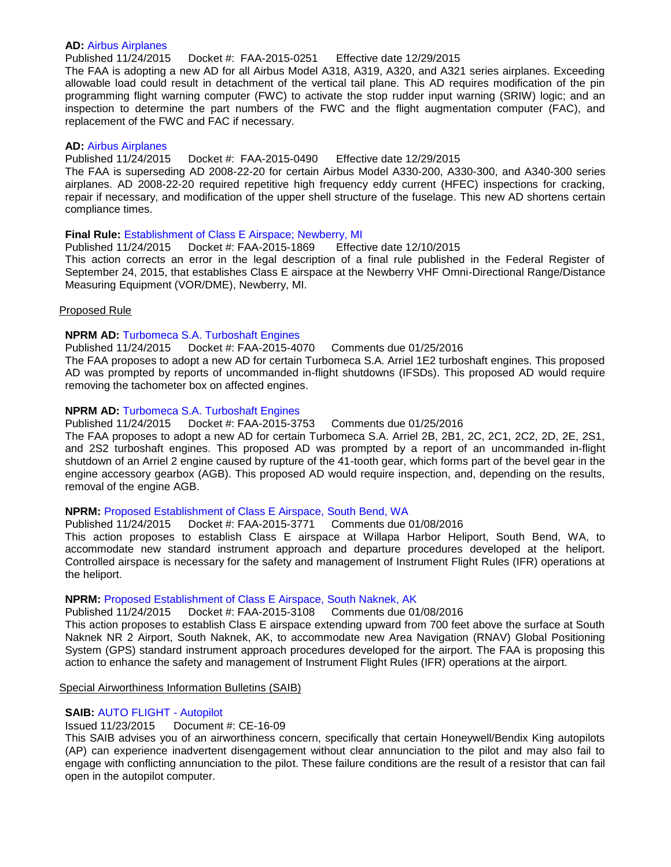#### **AD:** [Airbus Airplanes](https://www.federalregister.gov/articles/2015/11/24/2015-29702/airworthiness-directives-airbus-airplanes)

Published 11/24/2015 Docket #: FAA-2015-0251 Effective date 12/29/2015

The FAA is adopting a new AD for all Airbus Model A318, A319, A320, and A321 series airplanes. Exceeding allowable load could result in detachment of the vertical tail plane. This AD requires modification of the pin programming flight warning computer (FWC) to activate the stop rudder input warning (SRIW) logic; and an inspection to determine the part numbers of the FWC and the flight augmentation computer (FAC), and replacement of the FWC and FAC if necessary.

#### **AD:** [Airbus Airplanes](https://www.federalregister.gov/articles/2015/11/24/2015-28886/airworthiness-directives-airbus-airplanes)

Published 11/24/2015 Docket #: FAA-2015-0490 Effective date 12/29/2015

The FAA is superseding AD 2008-22-20 for certain Airbus Model A330-200, A330-300, and A340-300 series airplanes. AD 2008-22-20 required repetitive high frequency eddy current (HFEC) inspections for cracking, repair if necessary, and modification of the upper shell structure of the fuselage. This new AD shortens certain compliance times.

#### **Final Rule:** [Establishment of Class E Airspace; Newberry, MI](https://www.federalregister.gov/articles/2015/11/24/2015-29704/establishment-of-class-e-airspace-newberry-mi)

Published 11/24/2015 Docket #: FAA-2015-1869 Effective date 12/10/2015 This action corrects an error in the legal description of a final rule published in the Federal Register of September 24, 2015, that establishes Class E airspace at the Newberry VHF Omni-Directional Range/Distance Measuring Equipment (VOR/DME), Newberry, MI.

#### Proposed Rule

#### **NPRM AD:** [Turbomeca S.A. Turboshaft Engines](https://www.federalregister.gov/articles/2015/11/24/2015-29748/airworthiness-directives-turbomeca-sa-turboshaft-engines)

Published 11/24/2015 Docket #: FAA-2015-4070 Comments due 01/25/2016 The FAA proposes to adopt a new AD for certain Turbomeca S.A. Arriel 1E2 turboshaft engines. This proposed AD was prompted by reports of uncommanded in-flight shutdowns (IFSDs). This proposed AD would require removing the tachometer box on affected engines.

#### **NPRM AD:** [Turbomeca S.A. Turboshaft Engines](https://www.federalregister.gov/articles/2015/11/24/2015-29747/airworthiness-directives-turbomeca-sa-turboshaft-engines)

Published 11/24/2015 Docket #: FAA-2015-3753 Comments due 01/25/2016

The FAA proposes to adopt a new AD for certain Turbomeca S.A. Arriel 2B, 2B1, 2C, 2C1, 2C2, 2D, 2E, 2S1, and 2S2 turboshaft engines. This proposed AD was prompted by a report of an uncommanded in-flight shutdown of an Arriel 2 engine caused by rupture of the 41-tooth gear, which forms part of the bevel gear in the engine accessory gearbox (AGB). This proposed AD would require inspection, and, depending on the results, removal of the engine AGB.

#### **NPRM:** [Proposed Establishment of Class E Airspace, South Bend, WA](https://www.federalregister.gov/articles/2015/11/24/2015-29788/proposed-establishment-of-class-e-airspace-south-bend-wa)

Published 11/24/2015 Docket #: FAA-2015-3771 Comments due 01/08/2016

This action proposes to establish Class E airspace at Willapa Harbor Heliport, South Bend, WA, to accommodate new standard instrument approach and departure procedures developed at the heliport. Controlled airspace is necessary for the safety and management of Instrument Flight Rules (IFR) operations at the heliport.

#### **NPRM:** [Proposed Establishment of Class E Airspace, South Naknek, AK](https://www.federalregister.gov/articles/2015/11/24/2015-29789/proposed-establishment-of-class-e-airspace-south-naknek-ak)

Published 11/24/2015 Docket #: FAA-2015-3108 Comments due 01/08/2016

This action proposes to establish Class E airspace extending upward from 700 feet above the surface at South Naknek NR 2 Airport, South Naknek, AK, to accommodate new Area Navigation (RNAV) Global Positioning System (GPS) standard instrument approach procedures developed for the airport. The FAA is proposing this action to enhance the safety and management of Instrument Flight Rules (IFR) operations at the airport.

Special Airworthiness Information Bulletins (SAIB)

#### **SAIB:** [AUTO FLIGHT -](http://rgl.faa.gov/Regulatory_and_Guidance_Library/rgSAIB.nsf/(LookupSAIBs)/CE-16-09?OpenDocument) Autopilot

#### Issued 11/23/2015 Document #: CE-16-09

This SAIB advises you of an airworthiness concern, specifically that certain Honeywell/Bendix King autopilots (AP) can experience inadvertent disengagement without clear annunciation to the pilot and may also fail to engage with conflicting annunciation to the pilot. These failure conditions are the result of a resistor that can fail open in the autopilot computer.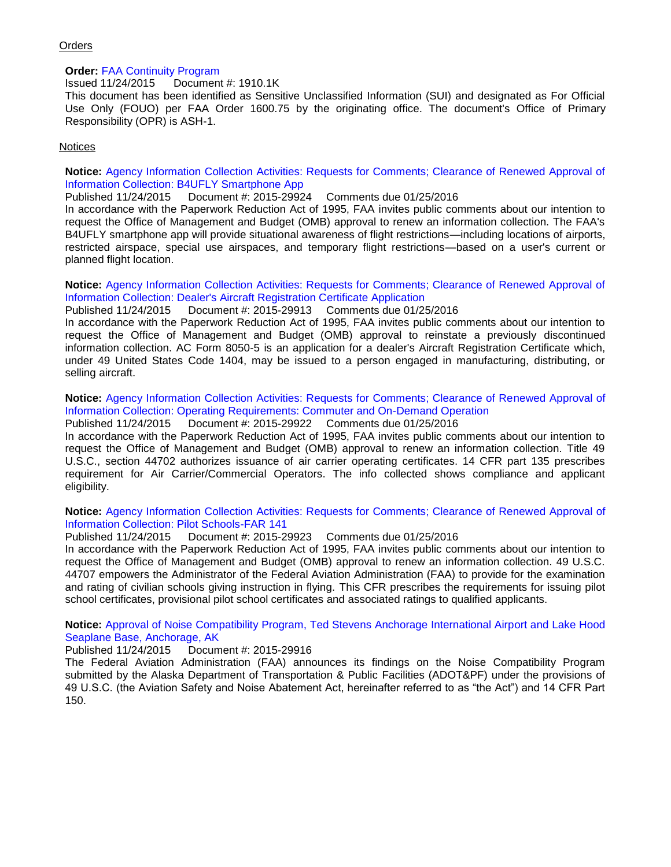#### **Orders**

#### **Order:** [FAA Continuity Program](http://www.faa.gov/regulations_policies/orders_notices/index.cfm/go/document.information/documentID/1028627)

Issued 11/24/2015 Document #: 1910.1K

This document has been identified as Sensitive Unclassified Information (SUI) and designated as For Official Use Only (FOUO) per FAA Order 1600.75 by the originating office. The document's Office of Primary Responsibility (OPR) is ASH-1.

#### **Notices**

**Notice:** [Agency Information Collection Activities: Requests for Comments; Clearance of Renewed Approval of](https://www.federalregister.gov/articles/2015/11/24/2015-29924/agency-information-collection-activities-requests-for-comments-clearance-of-renewed-approval-of)  [Information Collection: B4UFLY Smartphone App](https://www.federalregister.gov/articles/2015/11/24/2015-29924/agency-information-collection-activities-requests-for-comments-clearance-of-renewed-approval-of)

Published 11/24/2015 Document #: 2015-29924 Comments due 01/25/2016

In accordance with the Paperwork Reduction Act of 1995, FAA invites public comments about our intention to request the Office of Management and Budget (OMB) approval to renew an information collection. The FAA's B4UFLY smartphone app will provide situational awareness of flight restrictions—including locations of airports, restricted airspace, special use airspaces, and temporary flight restrictions—based on a user's current or planned flight location.

**Notice:** [Agency Information Collection Activities: Requests for Comments; Clearance of Renewed Approval of](https://www.federalregister.gov/articles/2015/11/24/2015-29913/agency-information-collection-activities-requests-for-comments-clearance-of-renewed-approval-of)  [Information Collection: Dealer's Aircraft Registration Certificate Application](https://www.federalregister.gov/articles/2015/11/24/2015-29913/agency-information-collection-activities-requests-for-comments-clearance-of-renewed-approval-of)

Published 11/24/2015 Document #: 2015-29913 Comments due 01/25/2016

In accordance with the Paperwork Reduction Act of 1995, FAA invites public comments about our intention to request the Office of Management and Budget (OMB) approval to reinstate a previously discontinued information collection. AC Form 8050-5 is an application for a dealer's Aircraft Registration Certificate which, under 49 United States Code 1404, may be issued to a person engaged in manufacturing, distributing, or selling aircraft.

#### **Notice:** [Agency Information Collection Activities: Requests for Comments; Clearance of Renewed Approval of](https://www.federalregister.gov/articles/2015/11/24/2015-29922/agency-information-collection-activities-requests-for-comments-clearance-of-renewed-approval-of)  [Information Collection: Operating Requirements: Commuter and On-Demand Operation](https://www.federalregister.gov/articles/2015/11/24/2015-29922/agency-information-collection-activities-requests-for-comments-clearance-of-renewed-approval-of)

Published 11/24/2015 Document #: 2015-29922 Comments due 01/25/2016

In accordance with the Paperwork Reduction Act of 1995, FAA invites public comments about our intention to request the Office of Management and Budget (OMB) approval to renew an information collection. Title 49 U.S.C., section 44702 authorizes issuance of air carrier operating certificates. 14 CFR part 135 prescribes requirement for Air Carrier/Commercial Operators. The info collected shows compliance and applicant eligibility.

#### **Notice:** [Agency Information Collection Activities: Requests for Comments; Clearance of Renewed Approval of](https://www.federalregister.gov/articles/2015/11/24/2015-29923/agency-information-collection-activities-requests-for-comments-clearance-of-renewed-approval-of)  [Information Collection: Pilot Schools-FAR 141](https://www.federalregister.gov/articles/2015/11/24/2015-29923/agency-information-collection-activities-requests-for-comments-clearance-of-renewed-approval-of)

#### Published 11/24/2015 Document #: 2015-29923 Comments due 01/25/2016

In accordance with the Paperwork Reduction Act of 1995, FAA invites public comments about our intention to request the Office of Management and Budget (OMB) approval to renew an information collection. 49 U.S.C. 44707 empowers the Administrator of the Federal Aviation Administration (FAA) to provide for the examination and rating of civilian schools giving instruction in flying. This CFR prescribes the requirements for issuing pilot school certificates, provisional pilot school certificates and associated ratings to qualified applicants.

**Notice:** [Approval of Noise Compatibility Program, Ted Stevens Anchorage International Airport and Lake Hood](https://www.federalregister.gov/articles/2015/11/24/2015-29916/approval-of-noise-compatibility-program-ted-stevens-anchorage-international-airport-and-lake-hood)  [Seaplane Base, Anchorage, AK](https://www.federalregister.gov/articles/2015/11/24/2015-29916/approval-of-noise-compatibility-program-ted-stevens-anchorage-international-airport-and-lake-hood)

#### Published 11/24/2015 Document #: 2015-29916

The Federal Aviation Administration (FAA) announces its findings on the Noise Compatibility Program submitted by the Alaska Department of Transportation & Public Facilities (ADOT&PF) under the provisions of 49 U.S.C. (the Aviation Safety and Noise Abatement Act, hereinafter referred to as "the Act") and 14 CFR Part 150.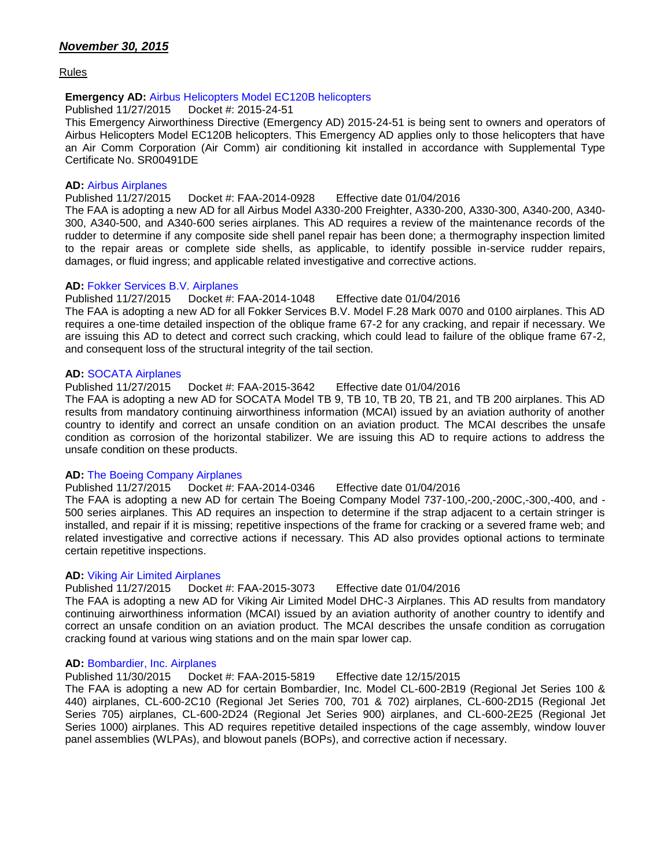Rules

#### **Emergency AD:** [Airbus Helicopters Model EC120B helicopters](http://www.airweb.faa.gov/Regulatory_and_Guidance_Library/rgad.nsf/0/36ea2334e2f21ab586257f0a00736417/$FILE/2015-24-51_Emergency.pdf)

Published 11/27/2015 Docket #: 2015-24-51

This Emergency Airworthiness Directive (Emergency AD) 2015-24-51 is being sent to owners and operators of Airbus Helicopters Model EC120B helicopters. This Emergency AD applies only to those helicopters that have an Air Comm Corporation (Air Comm) air conditioning kit installed in accordance with Supplemental Type Certificate No. SR00491DE

#### **AD:** [Airbus Airplanes](https://www.federalregister.gov/articles/2015/11/27/2015-29851/airworthiness-directives-airbus-airplanes)

#### Published 11/27/2015 Docket #: FAA-2014-0928 Effective date 01/04/2016

The FAA is adopting a new AD for all Airbus Model A330-200 Freighter, A330-200, A330-300, A340-200, A340- 300, A340-500, and A340-600 series airplanes. This AD requires a review of the maintenance records of the rudder to determine if any composite side shell panel repair has been done; a thermography inspection limited to the repair areas or complete side shells, as applicable, to identify possible in-service rudder repairs, damages, or fluid ingress; and applicable related investigative and corrective actions.

#### **AD:** [Fokker Services B.V. Airplanes](https://www.federalregister.gov/articles/2015/11/27/2015-29852/airworthiness-directives-fokker-services-bv-airplanes)

#### Published 11/27/2015 Docket #: FAA-2014-1048 Effective date 01/04/2016

The FAA is adopting a new AD for all Fokker Services B.V. Model F.28 Mark 0070 and 0100 airplanes. This AD requires a one-time detailed inspection of the oblique frame 67-2 for any cracking, and repair if necessary. We are issuing this AD to detect and correct such cracking, which could lead to failure of the oblique frame 67-2, and consequent loss of the structural integrity of the tail section.

#### **AD:** [SOCATA Airplanes](https://www.federalregister.gov/articles/2015/11/27/2015-29876/airworthiness-directives-socata-airplanes)

Published 11/27/2015 Docket #: FAA-2015-3642 Effective date 01/04/2016

The FAA is adopting a new AD for SOCATA Model TB 9, TB 10, TB 20, TB 21, and TB 200 airplanes. This AD results from mandatory continuing airworthiness information (MCAI) issued by an aviation authority of another country to identify and correct an unsafe condition on an aviation product. The MCAI describes the unsafe condition as corrosion of the horizontal stabilizer. We are issuing this AD to require actions to address the unsafe condition on these products.

#### **AD:** [The Boeing Company Airplanes](https://www.federalregister.gov/articles/2015/11/27/2015-28824/airworthiness-directives-the-boeing-company-airplanes)

Published 11/27/2015 Docket #: FAA-2014-0346 Effective date 01/04/2016

The FAA is adopting a new AD for certain The Boeing Company Model 737-100,-200,-200C,-300,-400, and - 500 series airplanes. This AD requires an inspection to determine if the strap adjacent to a certain stringer is installed, and repair if it is missing; repetitive inspections of the frame for cracking or a severed frame web; and related investigative and corrective actions if necessary. This AD also provides optional actions to terminate certain repetitive inspections.

#### **AD:** [Viking Air Limited Airplanes](https://www.federalregister.gov/articles/2015/11/27/2015-29855/airworthiness-directives-viking-air-limited-airplanes)

Published 11/27/2015 Docket #: FAA-2015-3073 Effective date 01/04/2016

The FAA is adopting a new AD for Viking Air Limited Model DHC-3 Airplanes. This AD results from mandatory continuing airworthiness information (MCAI) issued by an aviation authority of another country to identify and correct an unsafe condition on an aviation product. The MCAI describes the unsafe condition as corrugation cracking found at various wing stations and on the main spar lower cap.

#### **AD:** [Bombardier, Inc. Airplanes](https://www.federalregister.gov/articles/2015/11/30/2015-30182/airworthiness-directives-bombardier-inc-airplanes)

Published 11/30/2015 Docket #: FAA-2015-5819 Effective date 12/15/2015

The FAA is adopting a new AD for certain Bombardier, Inc. Model CL-600-2B19 (Regional Jet Series 100 & 440) airplanes, CL-600-2C10 (Regional Jet Series 700, 701 & 702) airplanes, CL-600-2D15 (Regional Jet Series 705) airplanes, CL-600-2D24 (Regional Jet Series 900) airplanes, and CL-600-2E25 (Regional Jet Series 1000) airplanes. This AD requires repetitive detailed inspections of the cage assembly, window louver panel assemblies (WLPAs), and blowout panels (BOPs), and corrective action if necessary.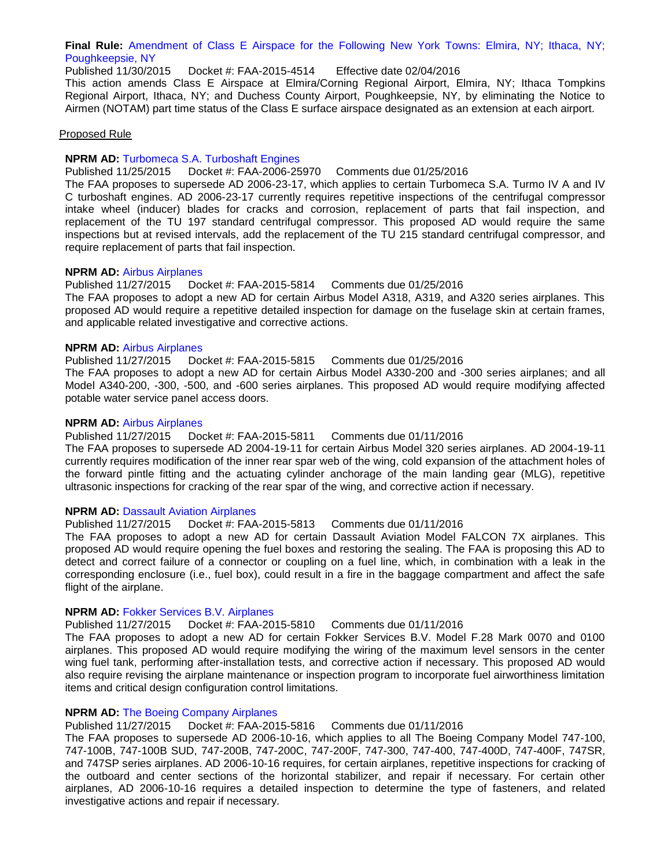**Final Rule:** [Amendment of Class E Airspace for the Following New York Towns: Elmira, NY; Ithaca, NY;](https://www.federalregister.gov/articles/2015/11/30/2015-30187/amendment-of-class-e-airspace-for-the-following-new-york-towns-elmira-ny-ithaca-ny-poughkeepsie-ny)  [Poughkeepsie, NY](https://www.federalregister.gov/articles/2015/11/30/2015-30187/amendment-of-class-e-airspace-for-the-following-new-york-towns-elmira-ny-ithaca-ny-poughkeepsie-ny)

Published 11/30/2015 Docket #: FAA-2015-4514 Effective date 02/04/2016

This action amends Class E Airspace at Elmira/Corning Regional Airport, Elmira, NY; Ithaca Tompkins Regional Airport, Ithaca, NY; and Duchess County Airport, Poughkeepsie, NY, by eliminating the Notice to Airmen (NOTAM) part time status of the Class E surface airspace designated as an extension at each airport.

#### Proposed Rule

#### **NPRM AD:** [Turbomeca S.A. Turboshaft Engines](https://www.federalregister.gov/articles/2015/11/25/2015-29886/airworthiness-directives-turbomeca-sa-turboshaft-engines)

#### Published 11/25/2015 Docket #: FAA-2006-25970 Comments due 01/25/2016

The FAA proposes to supersede AD 2006-23-17, which applies to certain Turbomeca S.A. Turmo IV A and IV C turboshaft engines. AD 2006-23-17 currently requires repetitive inspections of the centrifugal compressor intake wheel (inducer) blades for cracks and corrosion, replacement of parts that fail inspection, and replacement of the TU 197 standard centrifugal compressor. This proposed AD would require the same inspections but at revised intervals, add the replacement of the TU 215 standard centrifugal compressor, and require replacement of parts that fail inspection.

#### **NPRM AD:** [Airbus Airplanes](https://www.federalregister.gov/articles/2015/11/27/2015-30023/airworthiness-directives-airbus-airplanes)

Published 11/27/2015 Docket #: FAA-2015-5814 Comments due 01/25/2016

The FAA proposes to adopt a new AD for certain Airbus Model A318, A319, and A320 series airplanes. This proposed AD would require a repetitive detailed inspection for damage on the fuselage skin at certain frames, and applicable related investigative and corrective actions.

#### **NPRM AD:** [Airbus Airplanes](https://www.federalregister.gov/articles/2015/11/27/2015-30024/airworthiness-directives-airbus-airplanes)

Published 11/27/2015 Docket #: FAA-2015-5815 Comments due 01/25/2016

The FAA proposes to adopt a new AD for certain Airbus Model A330-200 and -300 series airplanes; and all Model A340-200, -300, -500, and -600 series airplanes. This proposed AD would require modifying affected potable water service panel access doors.

#### **NPRM AD:** [Airbus Airplanes](https://www.federalregister.gov/articles/2015/11/27/2015-30006/airworthiness-directives-airbus-airplanes)

Published 11/27/2015 Docket #: FAA-2015-5811 Comments due 01/11/2016

The FAA proposes to supersede AD 2004-19-11 for certain Airbus Model 320 series airplanes. AD 2004-19-11 currently requires modification of the inner rear spar web of the wing, cold expansion of the attachment holes of the forward pintle fitting and the actuating cylinder anchorage of the main landing gear (MLG), repetitive ultrasonic inspections for cracking of the rear spar of the wing, and corrective action if necessary.

#### **NPRM AD: [Dassault Aviation Airplanes](https://www.federalregister.gov/articles/2015/11/27/2015-30022/airworthiness-directives-dassault-aviation-airplanes)**

Published 11/27/2015 Docket #: FAA-2015-5813 Comments due 01/11/2016

The FAA proposes to adopt a new AD for certain Dassault Aviation Model FALCON 7X airplanes. This proposed AD would require opening the fuel boxes and restoring the sealing. The FAA is proposing this AD to detect and correct failure of a connector or coupling on a fuel line, which, in combination with a leak in the corresponding enclosure (i.e., fuel box), could result in a fire in the baggage compartment and affect the safe flight of the airplane.

#### **NPRM AD:** [Fokker Services B.V. Airplanes](https://www.federalregister.gov/articles/2015/11/27/2015-30007/airworthiness-directives-fokker-services-bv-airplanes)

Published 11/27/2015 Docket #: FAA-2015-5810 Comments due 01/11/2016

The FAA proposes to adopt a new AD for certain Fokker Services B.V. Model F.28 Mark 0070 and 0100 airplanes. This proposed AD would require modifying the wiring of the maximum level sensors in the center wing fuel tank, performing after-installation tests, and corrective action if necessary. This proposed AD would also require revising the airplane maintenance or inspection program to incorporate fuel airworthiness limitation items and critical design configuration control limitations.

#### **NPRM AD:** [The Boeing Company Airplanes](https://www.federalregister.gov/articles/2015/11/27/2015-30120/airworthiness-directives-the-boeing-company-airplanes)

Published 11/27/2015 Docket #: FAA-2015-5816 Comments due 01/11/2016

The FAA proposes to supersede AD 2006-10-16, which applies to all The Boeing Company Model 747-100, 747-100B, 747-100B SUD, 747-200B, 747-200C, 747-200F, 747-300, 747-400, 747-400D, 747-400F, 747SR, and 747SP series airplanes. AD 2006-10-16 requires, for certain airplanes, repetitive inspections for cracking of the outboard and center sections of the horizontal stabilizer, and repair if necessary. For certain other airplanes, AD 2006-10-16 requires a detailed inspection to determine the type of fasteners, and related investigative actions and repair if necessary.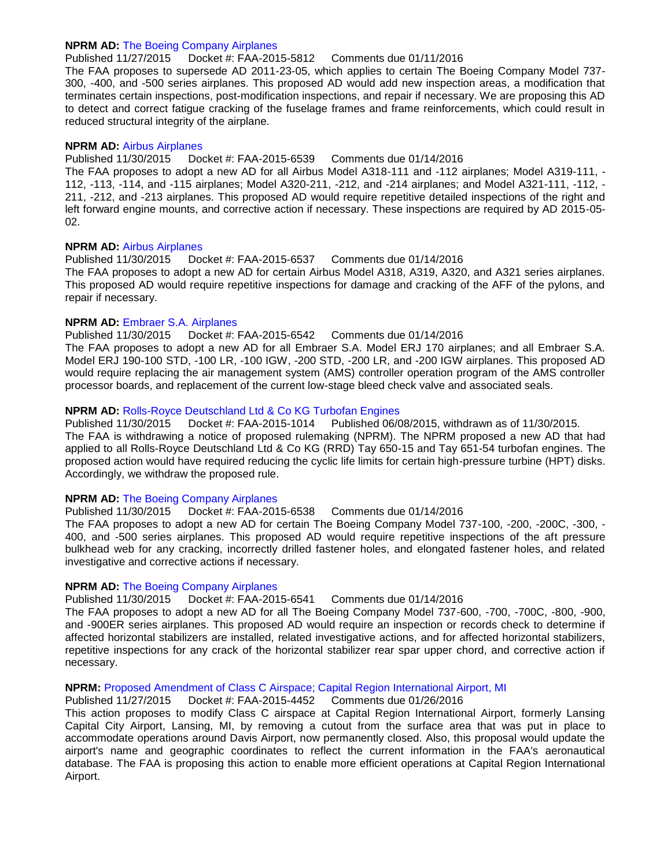#### **NPRM AD:** [The Boeing Company Airplanes](https://www.federalregister.gov/articles/2015/11/27/2015-30008/airworthiness-directives-the-boeing-company-airplanes)

#### Published 11/27/2015 Docket #: FAA-2015-5812 Comments due 01/11/2016

The FAA proposes to supersede AD 2011-23-05, which applies to certain The Boeing Company Model 737- 300, -400, and -500 series airplanes. This proposed AD would add new inspection areas, a modification that terminates certain inspections, post-modification inspections, and repair if necessary. We are proposing this AD to detect and correct fatigue cracking of the fuselage frames and frame reinforcements, which could result in reduced structural integrity of the airplane.

#### **NPRM AD:** [Airbus Airplanes](https://www.federalregister.gov/articles/2015/11/30/2015-30216/airworthiness-directives-airbus-airplanes)

Published 11/30/2015 Docket #: FAA-2015-6539 Comments due 01/14/2016

The FAA proposes to adopt a new AD for all Airbus Model A318-111 and -112 airplanes; Model A319-111, - 112, -113, -114, and -115 airplanes; Model A320-211, -212, and -214 airplanes; and Model A321-111, -112, - 211, -212, and -213 airplanes. This proposed AD would require repetitive detailed inspections of the right and left forward engine mounts, and corrective action if necessary. These inspections are required by AD 2015-05- 02.

#### **NPRM AD:** [Airbus Airplanes](https://www.federalregister.gov/articles/2015/11/30/2015-30218/airworthiness-directives-airbus-airplanes)

Published 11/30/2015 Docket #: FAA-2015-6537 Comments due 01/14/2016 The FAA proposes to adopt a new AD for certain Airbus Model A318, A319, A320, and A321 series airplanes. This proposed AD would require repetitive inspections for damage and cracking of the AFF of the pylons, and repair if necessary.

#### **NPRM AD:** [Embraer S.A. Airplanes](https://www.federalregister.gov/articles/2015/11/30/2015-30224/airworthiness-directives-embraer-sa-airplanes)

#### Published 11/30/2015 Docket #: FAA-2015-6542 Comments due 01/14/2016

The FAA proposes to adopt a new AD for all Embraer S.A. Model ERJ 170 airplanes; and all Embraer S.A. Model ERJ 190-100 STD, -100 LR, -100 IGW, -200 STD, -200 LR, and -200 IGW airplanes. This proposed AD would require replacing the air management system (AMS) controller operation program of the AMS controller processor boards, and replacement of the current low-stage bleed check valve and associated seals.

#### **NPRM AD:** [Rolls-Royce Deutschland Ltd & Co KG Turbofan Engines](https://www.federalregister.gov/articles/2015/11/30/2015-30010/airworthiness-directives-rolls-royce-deutschland-ltd-and-co-kg-turbofan-engines)

Published 11/30/2015 Docket #: FAA-2015-1014 Published 06/08/2015, withdrawn as of 11/30/2015. The FAA is withdrawing a notice of proposed rulemaking (NPRM). The NPRM proposed a new AD that had applied to all Rolls-Royce Deutschland Ltd & Co KG (RRD) Tay 650-15 and Tay 651-54 turbofan engines. The proposed action would have required reducing the cyclic life limits for certain high-pressure turbine (HPT) disks. Accordingly, we withdraw the proposed rule.

#### **NPRM AD:** [The Boeing Company Airplanes](https://www.federalregister.gov/articles/2015/11/30/2015-30217/airworthiness-directives-the-boeing-company-airplanes)

Published 11/30/2015 Docket #: FAA-2015-6538 Comments due 01/14/2016

The FAA proposes to adopt a new AD for certain The Boeing Company Model 737-100, -200, -200C, -300, -400, and -500 series airplanes. This proposed AD would require repetitive inspections of the aft pressure bulkhead web for any cracking, incorrectly drilled fastener holes, and elongated fastener holes, and related investigative and corrective actions if necessary.

#### **NPRM AD: [The Boeing Company Airplanes](https://www.federalregister.gov/articles/2015/11/30/2015-30223/airworthiness-directives-the-boeing-company-airplanes)**

Published 11/30/2015 Docket #: FAA-2015-6541 Comments due 01/14/2016

The FAA proposes to adopt a new AD for all The Boeing Company Model 737-600, -700, -700C, -800, -900, and -900ER series airplanes. This proposed AD would require an inspection or records check to determine if affected horizontal stabilizers are installed, related investigative actions, and for affected horizontal stabilizers, repetitive inspections for any crack of the horizontal stabilizer rear spar upper chord, and corrective action if necessary.

#### **NPRM:** [Proposed Amendment of Class C Airspace; Capital Region International Airport, MI](https://www.federalregister.gov/articles/2015/11/27/2015-29912/proposed-amendment-of-class-c-airspace-capital-region-international-airport-mi)

#### Published 11/27/2015 Docket #: FAA-2015-4452 Comments due 01/26/2016

This action proposes to modify Class C airspace at Capital Region International Airport, formerly Lansing Capital City Airport, Lansing, MI, by removing a cutout from the surface area that was put in place to accommodate operations around Davis Airport, now permanently closed. Also, this proposal would update the airport's name and geographic coordinates to reflect the current information in the FAA's aeronautical database. The FAA is proposing this action to enable more efficient operations at Capital Region International Airport.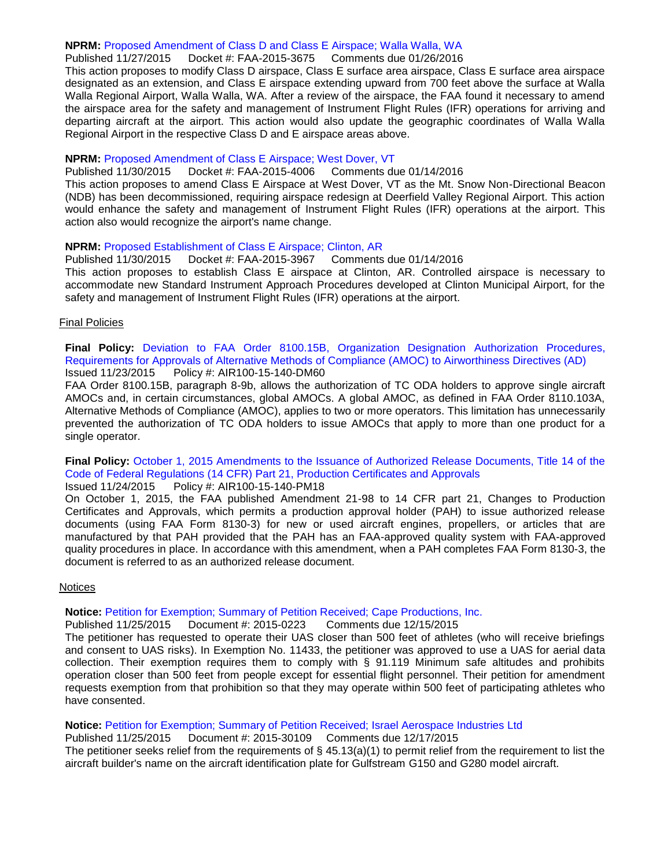#### **NPRM:** [Proposed Amendment of Class D and Class E Airspace; Walla Walla, WA](https://www.federalregister.gov/articles/2015/11/27/2015-29784/proposed-amendment-of-class-d-and-class-e-airspace-walla-walla-wa)

#### Published 11/27/2015 Docket #: FAA-2015-3675 Comments due 01/26/2016

This action proposes to modify Class D airspace, Class E surface area airspace, Class E surface area airspace designated as an extension, and Class E airspace extending upward from 700 feet above the surface at Walla Walla Regional Airport, Walla Walla, WA. After a review of the airspace, the FAA found it necessary to amend the airspace area for the safety and management of Instrument Flight Rules (IFR) operations for arriving and departing aircraft at the airport. This action would also update the geographic coordinates of Walla Walla Regional Airport in the respective Class D and E airspace areas above.

#### **NPRM:** [Proposed Amendment of Class E Airspace; West Dover, VT](https://www.federalregister.gov/articles/2015/11/30/2015-30184/proposed-amendment-of-class-e-airspace-west-dover-vt)

Published 11/30/2015 Docket #: FAA-2015-4006 Comments due 01/14/2016

This action proposes to amend Class E Airspace at West Dover, VT as the Mt. Snow Non-Directional Beacon (NDB) has been decommissioned, requiring airspace redesign at Deerfield Valley Regional Airport. This action would enhance the safety and management of Instrument Flight Rules (IFR) operations at the airport. This action also would recognize the airport's name change.

#### **NPRM:** [Proposed Establishment of Class E Airspace; Clinton, AR](https://www.federalregister.gov/articles/2015/11/30/2015-30188/proposed-establishment-of-class-e-airspace-clinton-ar)

Published 11/30/2015 Docket #: FAA-2015-3967 Comments due 01/14/2016 This action proposes to establish Class E airspace at Clinton, AR. Controlled airspace is necessary to accommodate new Standard Instrument Approach Procedures developed at Clinton Municipal Airport, for the safety and management of Instrument Flight Rules (IFR) operations at the airport.

#### Final Policies

**Final Policy:** [Deviation to FAA Order 8100.15B, Organization Designation](http://rgl.faa.gov/Regulatory_and_Guidance_Library/rgPolicy.nsf/0/A46F32DD849E7B3486257F0700591D4E?OpenDocument) Authorization Procedures, [Requirements for Approvals of Alternative Methods of Compliance \(AMOC\) to Airworthiness Directives \(AD\)](http://rgl.faa.gov/Regulatory_and_Guidance_Library/rgPolicy.nsf/0/A46F32DD849E7B3486257F0700591D4E?OpenDocument) Issued 11/23/2015 Policy #: AIR100-15-140-DM60

FAA Order 8100.15B, paragraph 8-9b, allows the authorization of TC ODA holders to approve single aircraft AMOCs and, in certain circumstances, global AMOCs. A global AMOC, as defined in FAA Order 8110.103A, Alternative Methods of Compliance (AMOC), applies to two or more operators. This limitation has unnecessarily prevented the authorization of TC ODA holders to issue AMOCs that apply to more than one product for a single operator.

### **Final Policy:** [October 1, 2015 Amendments to the Issuance of Authorized Release Documents, Title 14 of the](http://rgl.faa.gov/Regulatory_and_Guidance_Library/rgPolicy.nsf/0/13E570B1376B6F3186257F07006F88B4?OpenDocument)  [Code of Federal Regulations \(14 CFR\) Part 21, Production Certificates and Approvals](http://rgl.faa.gov/Regulatory_and_Guidance_Library/rgPolicy.nsf/0/13E570B1376B6F3186257F07006F88B4?OpenDocument)

#### Issued 11/24/2015 Policy #: AIR100-15-140-PM18

On October 1, 2015, the FAA published Amendment 21-98 to 14 CFR part 21, Changes to Production Certificates and Approvals, which permits a production approval holder (PAH) to issue authorized release documents (using FAA Form 8130-3) for new or used aircraft engines, propellers, or articles that are manufactured by that PAH provided that the PAH has an FAA-approved quality system with FAA-approved quality procedures in place. In accordance with this amendment, when a PAH completes FAA Form 8130-3, the document is referred to as an authorized release document.

#### Notices

#### **Notice:** [Petition for Exemption; Summary of Petition Received; Cape Productions, Inc.](https://www.federalregister.gov/articles/2015/11/25/2015-29950/petition-for-exemption-summary-of-petition-received-cape-productions-inc)

#### Published 11/25/2015 Document #: 2015-0223 Comments due 12/15/2015

The petitioner has requested to operate their UAS closer than 500 feet of athletes (who will receive briefings and consent to UAS risks). In Exemption No. 11433, the petitioner was approved to use a UAS for aerial data collection. Their exemption requires them to comply with § 91.119 Minimum safe altitudes and prohibits operation closer than 500 feet from people except for essential flight personnel. Their petition for amendment requests exemption from that prohibition so that they may operate within 500 feet of participating athletes who have consented.

#### **Notice:** [Petition for Exemption; Summary of Petition Received; Israel Aerospace Industries Ltd](https://www.federalregister.gov/articles/2015/11/27/2015-30109/petition-for-exemption-summary-of-petition-received-israel-aerospace-industries-ltd)

Published 11/25/2015 Document #: 2015-30109 Comments due 12/17/2015 The petitioner seeks relief from the requirements of  $\S$  45.13(a)(1) to permit relief from the requirement to list the aircraft builder's name on the aircraft identification plate for Gulfstream G150 and G280 model aircraft.